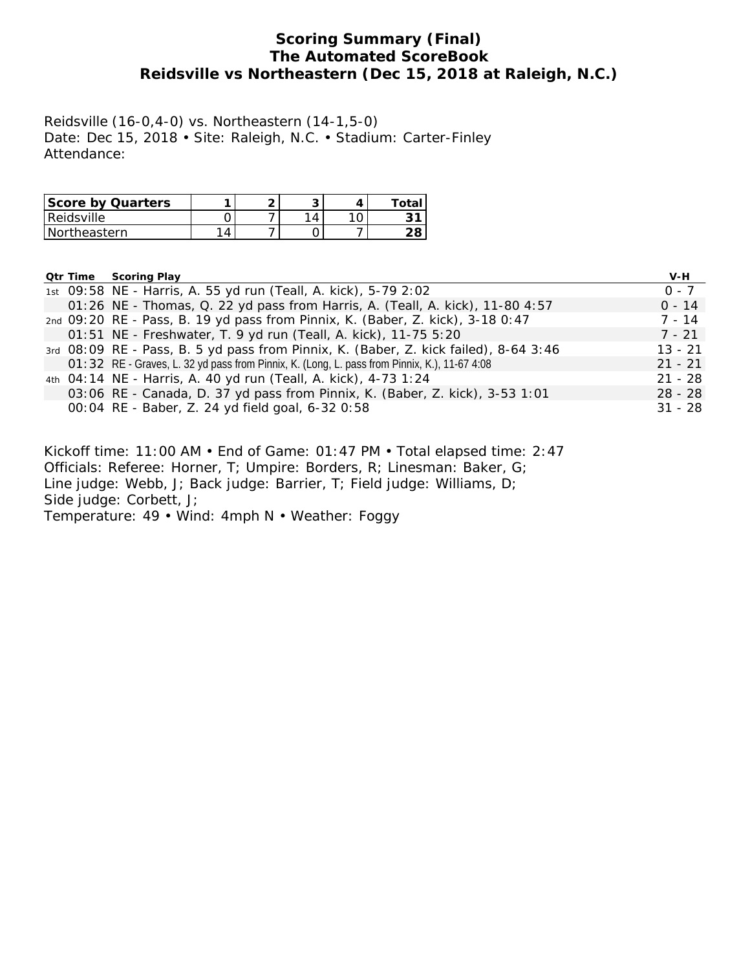## **Scoring Summary (Final) The Automated ScoreBook Reidsville vs Northeastern (Dec 15, 2018 at Raleigh, N.C.)**

Reidsville (16-0,4-0) vs. Northeastern (14-1,5-0) Date: Dec 15, 2018 • Site: Raleigh, N.C. • Stadium: Carter-Finley Attendance:

| <b>Score by Quarters</b> |           | ◚ |   | Total |
|--------------------------|-----------|---|---|-------|
| Reidsville               |           |   | 4 |       |
| i Northeastern           | $\Lambda$ |   |   |       |

|  | <b>Qtr Time Scoring Play</b>                                                                 | V-H       |
|--|----------------------------------------------------------------------------------------------|-----------|
|  | 1st 09:58 NE - Harris, A. 55 yd run (Teall, A. kick), 5-79 2:02                              | $0 - 7$   |
|  | 01:26 NE - Thomas, Q. 22 yd pass from Harris, A. (Teall, A. kick), 11-80 4:57                | $0 - 14$  |
|  | 2nd 09:20 RE - Pass, B. 19 yd pass from Pinnix, K. (Baber, Z. kick), 3-18 0:47               | $7 - 14$  |
|  | 01:51 NE - Freshwater, T. 9 yd run (Teall, A. kick), 11-75 5:20                              | $7 - 21$  |
|  | 3rd 08:09 RE - Pass, B. 5 yd pass from Pinnix, K. (Baber, Z. kick failed), 8-64 3:46         | $13 - 21$ |
|  | O1:32 RE - Graves, L. 32 yd pass from Pinnix, K. (Long, L. pass from Pinnix, K.), 11-67 4:08 | $21 - 21$ |
|  | 4th 04:14 NE - Harris, A. 40 yd run (Teall, A. kick), 4-73 1:24                              | $21 - 28$ |
|  | 03:06 RE - Canada, D. 37 yd pass from Pinnix, K. (Baber, Z. kick), 3-53 1:01                 | $28 - 28$ |
|  | 00:04 RE - Baber, Z. 24 yd field goal, 6-32 0:58                                             | $31 - 28$ |
|  |                                                                                              |           |

Kickoff time: 11:00 AM • End of Game: 01:47 PM • Total elapsed time: 2:47 Officials: Referee: Horner, T; Umpire: Borders, R; Linesman: Baker, G; Line judge: Webb, J; Back judge: Barrier, T; Field judge: Williams, D; Side judge: Corbett, J;

Temperature: 49 • Wind: 4mph N • Weather: Foggy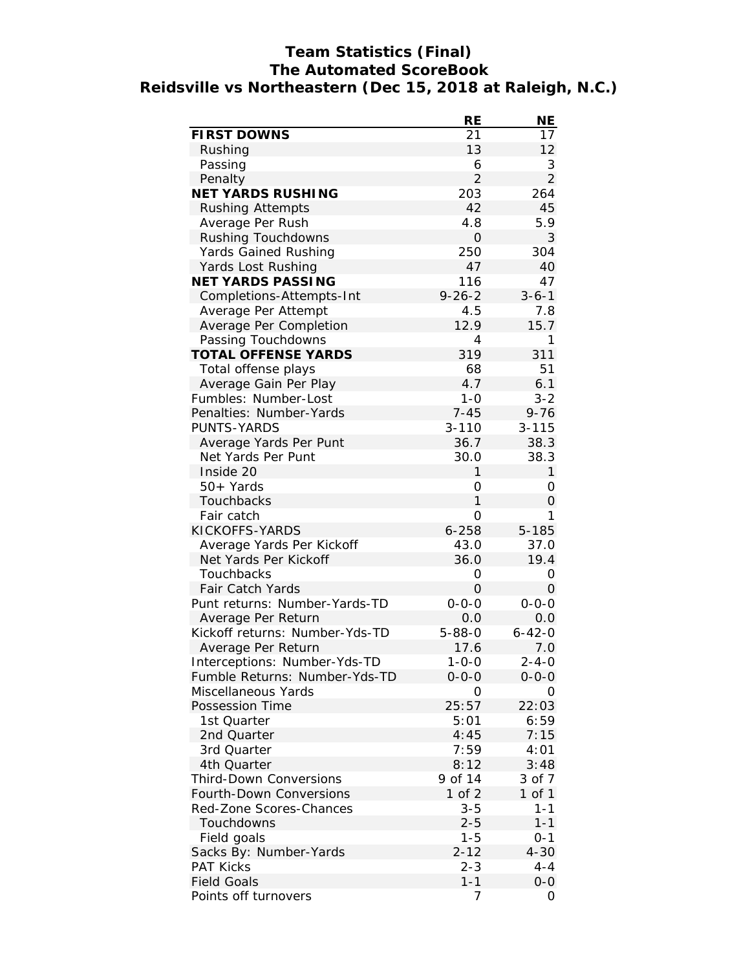# **Team Statistics (Final) The Automated ScoreBook Reidsville vs Northeastern (Dec 15, 2018 at Raleigh, N.C.)**

|                                | <b>RE</b>      | NΕ             |
|--------------------------------|----------------|----------------|
| <b>FIRST DOWNS</b>             | 21             | 17             |
| Rushing                        | 13             | 12             |
| Passing                        | 6              | 3              |
| Penalty                        | $\overline{2}$ | $\overline{2}$ |
| <b>NET YARDS RUSHING</b>       | 203            | 264            |
| <b>Rushing Attempts</b>        | 42             | 45             |
| Average Per Rush               | 4.8            | 5.9            |
| Rushing Touchdowns             | 0              | 3              |
| <b>Yards Gained Rushing</b>    | 250            | 304            |
| Yards Lost Rushing             | 47             | 40             |
| <b>NET YARDS PASSING</b>       | 116            | 47             |
| Completions-Attempts-Int       | $9 - 26 - 2$   | $3 - 6 - 1$    |
| Average Per Attempt            | 4.5            | 7.8            |
| Average Per Completion         | 12.9           | 15.7           |
| Passing Touchdowns             | 4              | 1              |
| <b>TOTAL OFFENSE YARDS</b>     | 319            | 311            |
| Total offense plays            | 68             | 51             |
| Average Gain Per Play          | 4.7            | 6.1            |
| Fumbles: Number-Lost           | $1 - 0$        | $3 - 2$        |
| Penalties: Number-Yards        | $7 - 45$       | $9 - 76$       |
| PUNTS-YARDS                    | $3 - 110$      | $3 - 115$      |
| Average Yards Per Punt         | 36.7           | 38.3           |
| Net Yards Per Punt             | 30.0           | 38.3           |
| Inside 20                      | 1              | $\mathbf{1}$   |
| $50+Yards$                     | 0              | 0              |
| Touchbacks                     | $\mathbf{1}$   | 0              |
| Fair catch                     | 0              | 1              |
| KICKOFFS-YARDS                 | $6 - 258$      | 5-185          |
| Average Yards Per Kickoff      | 43.0           | 37.0           |
| Net Yards Per Kickoff          | 36.0           | 19.4           |
| Touchbacks                     | 0              | 0              |
| <b>Fair Catch Yards</b>        | 0              | 0              |
| Punt returns: Number-Yards-TD  | $0 - 0 - 0$    | $0 - 0 - 0$    |
| Average Per Return             | 0.0            | 0.0            |
| Kickoff returns: Number-Yds-TD | $5 - 88 - 0$   | $6 - 42 - 0$   |
| Average Per Return             | 17.6           | 7.0            |
| Interceptions: Number-Yds-TD   | 1-0-0          | 2-4-0          |
| Fumble Returns: Number-Yds-TD  | $0 - 0 - 0$    | $0 - 0 - 0$    |
| Miscellaneous Yards            | Ο              | Ο              |
| <b>Possession Time</b>         | 25:57          | 22:03          |
| 1st Quarter                    | 5:01           | 6:59           |
| 2nd Quarter                    | 4:45           | 7:15           |
| 3rd Quarter                    | 7:59           | 4:01           |
| 4th Quarter                    | 8:12           | 3:48           |
| <b>Third-Down Conversions</b>  | 9 of 14        | 3 of 7         |
| <b>Fourth-Down Conversions</b> | 1 of 2         | 1 of 1         |
| Red-Zone Scores-Chances        | $3 - 5$        | $1 - 1$        |
| Touchdowns                     | $2 - 5$        | $1 - 1$        |
| Field goals                    | $1 - 5$        | $0 - 1$        |
| Sacks By: Number-Yards         | $2 - 12$       | $4 - 30$       |
| <b>PAT Kicks</b>               | $2 - 3$        | 4-4            |
| <b>Field Goals</b>             | $1 - 1$        | $0 - 0$        |
| Points off turnovers           | 7              | 0              |
|                                |                |                |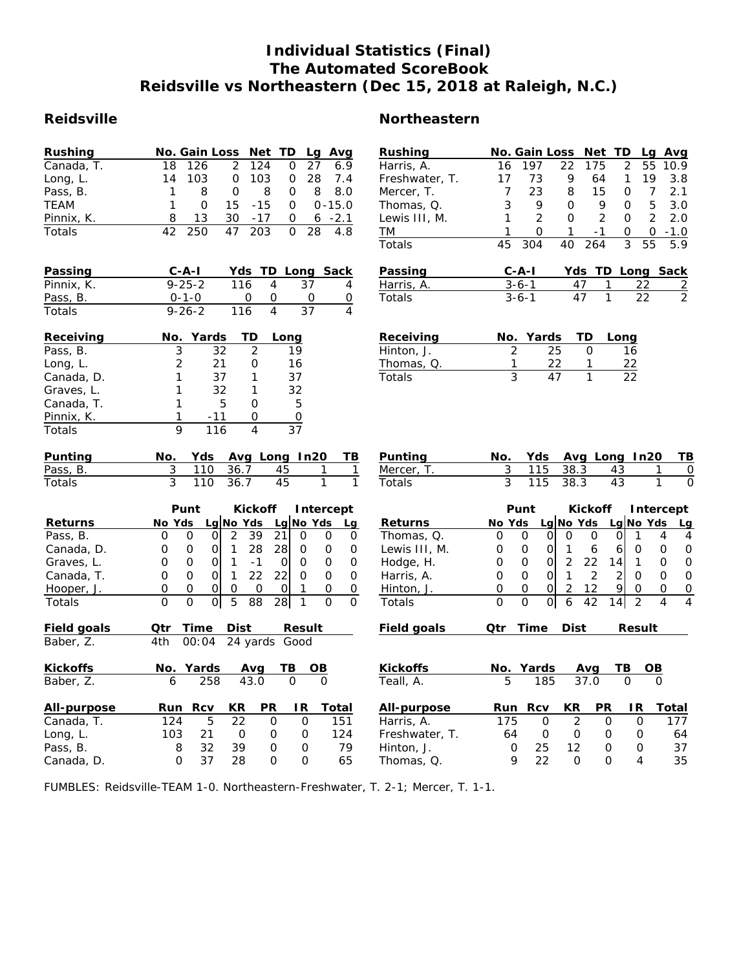# **Individual Statistics (Final) The Automated ScoreBook Reidsville vs Northeastern (Dec 15, 2018 at Raleigh, N.C.)**

| <b>Rushing</b> |    | No. Gain Loss Net TD Lg Avg |   |           |          |      |            |
|----------------|----|-----------------------------|---|-----------|----------|------|------------|
| Canada, T.     | 18 | 126                         |   | 2 124     | $\Omega$ | 27   | 6.9        |
| Long, L.       | 14 | 103                         | O | - 103     | 0        | - 28 | 7.4        |
| Pass, B.       |    | 8                           | O | 8         | 0        | 8    | 8.O        |
| TEAM           |    | O                           |   | 15 - 15   | $\Omega$ |      | $0 - 15.0$ |
| Pinnix, K.     |    | 13                          |   | $30 - 17$ | $\Omega$ |      | $6 - 2.1$  |
| Totals         |    | 250                         |   | 47 203    | 0        | - 28 | 4.8        |

| Passing       | $C - A - I$  |     | Yds TD Long Sack |   |
|---------------|--------------|-----|------------------|---|
| Pinnix, K.    | $9 - 25 - 2$ | 116 | -37              | 4 |
| Pass, B.      | $0 - 1 - 0$  |     |                  |   |
| <b>Totals</b> | $9 - 26 - 2$ | 116 | 37               | 4 |

| Receiving  |   | No. Yards | - TD | Long |
|------------|---|-----------|------|------|
| Pass, B.   | 3 | 32        |      | 19   |
| Long, L.   | 2 | 21        | റ    | 16   |
| Canada, D. |   | 37        |      | 37   |
| Graves, L. |   | 32        |      | 32   |
| Canada, T. |   | 5         | 0    | 5    |
| Pinnix, K. |   | $-11$     |      |      |
| Totals     |   | 116       |      | 37   |

| <b>Punting</b> |            |               | No. Yds Avg Long In20 TB |                |
|----------------|------------|---------------|--------------------------|----------------|
| Pass, B.       |            | 3 110 36.7 45 |                          | $\overline{1}$ |
| Totals         | 3 110 36.7 | 45            |                          |                |

|                | Punt             |  |                     |    |   | Kickoff Intercept |      |
|----------------|------------------|--|---------------------|----|---|-------------------|------|
| <b>Returns</b> | No Yds           |  | Lg No Yds Lg No Yds |    |   |                   | - La |
| Pass, B.       |                  |  | 39                  | 21 |   |                   | O    |
| Canada, D.     |                  |  | 28                  | 28 |   | $\mathbf{O}$      | ∩    |
| Graves, L.     |                  |  |                     |    | Ω | O                 | Ω    |
| Canada, T.     |                  |  | 22                  |    |   |                   | Ω    |
| Hooper, J.     | $\left( \right)$ |  |                     |    |   | 0                 | O    |
| Totals         |                  |  |                     | 28 |   |                   | O    |

| <b>Field goals</b> | Otr | <b>Time</b>         | Dist |           | <b>Result</b> |       |
|--------------------|-----|---------------------|------|-----------|---------------|-------|
| Baber, Z.          | 4th | 00:04 24 yards Good |      |           |               |       |
| <b>Kickoffs</b>    |     | No. Yards           | Avq  |           | ΤВ            | OВ    |
| Baber, Z.          | 6   | 258                 | 43.0 |           | O             | O     |
| All-purpose        | Run | Rcv                 | KR   | <b>PR</b> | ΙR            | Total |
| Canada, T.         | 124 | 5                   | 22   | 0         | 0             | 151   |
| Long, L.           | 103 | 21                  | Ο    | 0         | 0             | 124   |
| Pass, B.           | 8   | 32                  | 39   | O         | 0             | 79    |
| Canada, D.         | Ω   | 37                  | 28   | ი         | O             | 65    |

# **Reidsville Northeastern**

| <b>Rushing</b>               |                | No. Gain Loss  |                      | <b>Net</b>     | TD             |                 | Lg             | Avg                 |
|------------------------------|----------------|----------------|----------------------|----------------|----------------|-----------------|----------------|---------------------|
| Harris, A.                   | 16             | 197            | 22                   | 175            |                | $\overline{2}$  | 55             | 10.9                |
| Freshwater, T.               | 17             | 73             | 9                    | 64             |                | 1               | 19             | 3.8                 |
| Mercer, T.                   | 7              | 23             | 8                    | 15             |                | 0               | 7              | 2.1                 |
| Thomas, Q.                   | 3              | 9              | 0                    | 9              |                | O               | 5              | 3.0                 |
| Lewis III, M.                | 1              | $\overline{2}$ | 0                    | $\overline{2}$ |                | 0               | $\overline{2}$ | 2.0                 |
| ТM                           | 1              | 0              | 1                    | $-1$           |                | O               | 0              | $-1.0$              |
| Totals                       | 45             | 304            | 40                   | 264            |                | $\overline{3}$  | 55             | 5.9                 |
| Passing                      |                | $C - A - I$    |                      | Yds            |                |                 |                | <b>TD Long Sack</b> |
| Harris, A.                   |                | $3 - 6 - 1$    |                      | 47             | 1              | <u>22</u>       |                |                     |
| Totals                       |                | $3 - 6 - 1$    |                      | 47             | 1              | 22              |                | $\frac{2}{2}$       |
|                              |                |                |                      |                |                |                 |                |                     |
| Receiving                    | No.            | Yards          |                      | TD             | Long           |                 |                |                     |
| Hinton, J.                   | $\overline{2}$ |                | 25                   | 0              |                | 16              |                |                     |
| Thomas, Q.                   | 1              |                | 22                   | 1              |                | $\overline{22}$ |                |                     |
| Totals                       | $\overline{3}$ |                |                      | 1              |                |                 |                |                     |
|                              |                |                |                      |                |                |                 |                |                     |
|                              |                |                |                      |                |                |                 |                |                     |
| Punting                      | No.            | Yds            |                      | Avg Long In20  |                |                 |                | <u>ТВ</u>           |
| Mercer, T.                   | 3              | 115            | 38.3                 |                | 43             |                 | 1              | 0                   |
| <b>Totals</b>                | 3              | 115            | 38.3                 |                | 43             |                 | 1              | $\Omega$            |
|                              |                | Punt           |                      | <b>Kickoff</b> |                |                 |                | Intercept           |
| <b>Returns</b>               | No Yds         |                | Lg No Yds            |                |                | Lg No Yds       |                | <b>Lg</b>           |
| Thomas, Q.                   | 0              | 0              | 0<br>0               | 0              | 0              | 1               |                | 4<br>$\overline{4}$ |
| Lewis III, M.                | Ο              | 0              | Οl<br>1              | 6              | 6              | O               |                | 0<br>0              |
| Hodge, H.                    | 0              | 0              | $\overline{2}$<br>Οl | 22             | 141            | $\mathbf{1}$    |                | 0<br>0              |
| Harris, A.                   | O              | 0              | 1<br>0l              | $\overline{2}$ | $\overline{2}$ | 0               |                | $\mathbf 0$<br>0    |
| Hinton, J.                   | 0              | 0<br>0         | $\overline{2}$       | 12             | 9              | 0               |                | 0<br>$\overline{0}$ |
| Totals                       | 0              | O              | 6<br>0               | 42             | 14             | $\mathfrak{p}$  |                | 4<br>4              |
| <b>Field goals</b>           | Qtr            | <b>Time</b>    | <b>Dist</b>          |                |                | <b>Result</b>   |                |                     |
|                              |                |                |                      |                |                |                 |                |                     |
| <b>Kickoffs</b><br>Teall, A. | No.<br>5       | Yards<br>185   |                      | Avg<br>37.0    | ТB             | 0               | OВ<br>0        |                     |

| All-purpose    | Run | <b>RCV</b> | KR. | <b>PR</b> | IR. | Total |
|----------------|-----|------------|-----|-----------|-----|-------|
| Harris, A.     | 175 |            |     |           |     |       |
| Freshwater, T. | 64  |            |     |           |     | 64    |
| Hinton, J.     |     | 25         | 12  |           |     | 37    |
| Thomas, Q.     |     | つつ         |     |           |     | 35.   |
|                |     |            |     |           |     |       |

FUMBLES: Reidsville-TEAM 1-0. Northeastern-Freshwater, T. 2-1; Mercer, T. 1-1.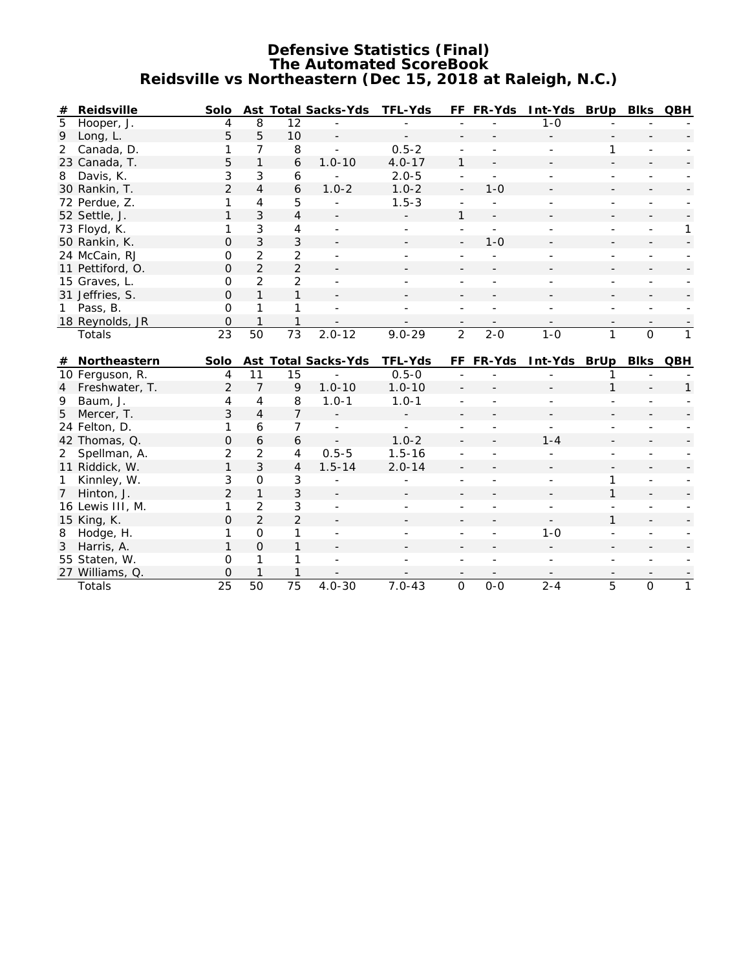#### **Defensive Statistics (Final) The Automated ScoreBook Reidsville vs Northeastern (Dec 15, 2018 at Raleigh, N.C.)**

| #              | <b>Reidsville</b>         | Solo               |                |                 | Ast Total Sacks-Yds      | <b>TFL-Yds</b>           |                          | FF FR-Yds      | Int-Yds BrUp Blks QBH |              |                          |              |
|----------------|---------------------------|--------------------|----------------|-----------------|--------------------------|--------------------------|--------------------------|----------------|-----------------------|--------------|--------------------------|--------------|
| 5              | Hooper, J.                | 4                  | 8              | 12              |                          |                          |                          |                | $1 - 0$               |              |                          |              |
| 9              | Long, L.                  | 5                  | 5              | 10              | $\overline{\phantom{a}}$ |                          |                          |                |                       |              |                          |              |
| 2              | Canada, D.                | 1                  | 7              | 8               | $\mathbf{r}$             | $0.5 - 2$                | ÷,                       | L.             |                       | 1            |                          |              |
|                | 23 Canada, T.             | 5                  | $\mathbf{1}$   | 6               | $1.0 - 10$               | $4.0 - 17$               | $\mathbf{1}$             |                |                       |              |                          |              |
| 8              | Davis, K.                 | 3                  | 3              | 6               |                          | $2.0 - 5$                | ÷,                       | $\overline{a}$ |                       |              |                          |              |
|                | 30 Rankin, T.             | $\overline{2}$     | $\overline{4}$ | 6               | $1.0 - 2$                | $1.0 - 2$                | $\blacksquare$           | $1 - 0$        |                       |              |                          |              |
|                | 72 Perdue, Z.             | 1                  | 4              | 5               |                          | $1.5 - 3$                | $\overline{a}$           |                |                       |              | ٠                        |              |
|                | 52 Settle, J.             | 1                  | 3              | $\overline{4}$  |                          |                          | 1                        |                |                       |              |                          |              |
|                | 73 Floyd, K.              | 1                  | 3              | 4               | $\mathbf{r}$             | $\overline{\phantom{0}}$ | ÷,                       | $\blacksquare$ |                       |              | $\overline{\phantom{0}}$ | $\mathbf{1}$ |
|                | 50 Rankin, K.             | O                  | 3              | 3               |                          |                          | $\overline{\phantom{0}}$ | $1 - 0$        |                       |              |                          |              |
|                | 24 McCain, RJ             | 0                  | $\overline{2}$ | $\overline{a}$  |                          |                          |                          |                |                       |              |                          |              |
|                | 11 Pettiford, O.          | O                  | 2              | $\overline{2}$  |                          |                          |                          |                |                       |              |                          |              |
|                | 15 Graves, L.             | 0                  | $\overline{2}$ | $\overline{2}$  |                          |                          |                          |                |                       |              |                          |              |
|                | 31 Jeffries, S.           | $\Omega$           | $\mathbf{1}$   | $\mathbf{1}$    |                          |                          |                          |                |                       |              |                          |              |
| $\mathbf{1}$   | Pass, B.                  | $\Omega$           | 1              | 1               |                          |                          |                          |                |                       |              |                          |              |
|                | 18 Reynolds, JR           | $\overline{O}$     | $\mathbf{1}$   | $\mathbf{1}$    |                          |                          |                          |                |                       |              |                          |              |
|                | Totals                    | $\overline{23}$    | 50             | $\overline{73}$ | $2.0 - 12$               | $9.0 - 29$               | $\overline{2}$           | $2 - 0$        | $1 - 0$               | 1            | $\overline{0}$           | $\mathbf{1}$ |
|                |                           |                    |                |                 |                          |                          |                          |                |                       |              |                          |              |
|                |                           |                    |                |                 |                          |                          |                          |                |                       |              |                          |              |
|                | # Northeastern            | <b>Solo</b>        |                |                 | Ast Total Sacks-Yds      | <b>TFL-Yds</b>           |                          | FF FR-Yds      | Int-Yds BrUp Blks QBH |              |                          |              |
|                | 10 Ferguson, R.           | 4                  | 11             | 15              |                          | $0.5 - 0$                |                          |                |                       |              |                          |              |
| $\overline{4}$ | Freshwater, T.            | $\overline{2}$     | $\overline{7}$ | 9               | $1.0 - 10$               | $1.0 - 10$               |                          |                |                       | $\mathbf{1}$ |                          | $\mathbf{1}$ |
| 9              | Baum, J.                  | 4                  | $\overline{4}$ | 8               | $1.0 - 1$                | $1.0 - 1$                |                          |                |                       |              |                          |              |
| 5              | Mercer, T.                | 3                  | $\overline{4}$ | $\overline{7}$  |                          |                          |                          |                |                       |              |                          |              |
|                | 24 Felton, D.             | 1                  | 6              | $\overline{7}$  |                          |                          |                          |                |                       |              |                          |              |
|                | 42 Thomas, Q.             | 0                  | 6              | 6               |                          | $1.0 - 2$                |                          |                | $1 - 4$               |              |                          |              |
| $\overline{2}$ | Spellman, A.              | $\overline{2}$     | $\overline{2}$ | 4               | $0.5 - 5$                | $1.5 - 16$               |                          |                |                       |              |                          |              |
|                | 11 Riddick, W.            | $\mathbf{1}$       | 3              | $\overline{4}$  | $1.5 - 14$               | $2.0 - 14$               |                          |                |                       |              |                          |              |
| $\mathbf{1}$   | Kinnley, W.               | 3                  | $\mathsf{O}$   | 3               |                          |                          |                          |                |                       | 1            |                          |              |
| 7 <sup>7</sup> | Hinton, J.                | $\overline{2}$     | $\mathbf{1}$   | 3               |                          |                          |                          |                |                       | $\mathbf{1}$ |                          |              |
|                | 16 Lewis III, M.          | 1                  | $\overline{2}$ | 3               |                          |                          |                          |                |                       |              |                          |              |
|                | 15 King, K.               | $\overline{O}$     | $\overline{2}$ | $\overline{2}$  |                          |                          |                          |                |                       | $\mathbf{1}$ |                          |              |
| 8              | Hodge, H.                 | 1                  | $\mathsf{O}$   | 1               |                          |                          |                          |                | $1 - 0$               |              |                          |              |
| 3              | Harris, A.                | $\mathbf{1}$       | $\mathbf 0$    | $\mathbf{1}$    |                          |                          |                          |                |                       |              |                          |              |
|                | 55 Staten, W.             | $\mathbf 0$        | 1              | 1               |                          |                          |                          |                |                       |              |                          |              |
|                | 27 Williams, Q.<br>Totals | $\mathbf{O}$<br>25 | 50             | 75              | $4.0 - 30$               | $7.0 - 43$               | $\overline{O}$           | $0 - 0$        | $2 - 4$               | 5            | $\overline{O}$           | $\mathbf{1}$ |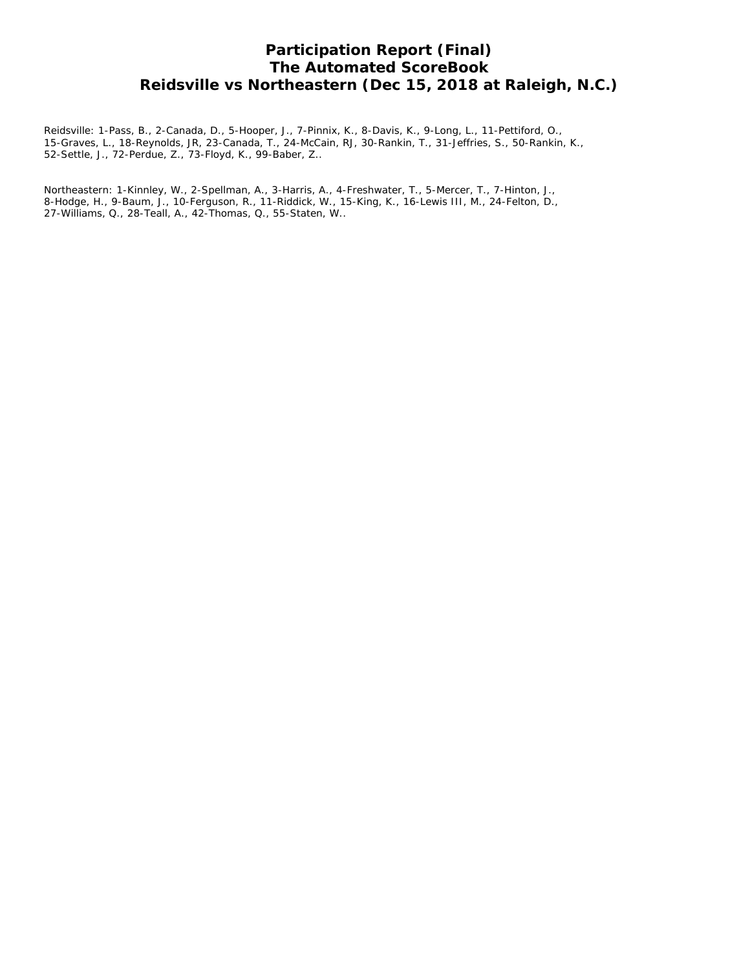# **Participation Report (Final) The Automated ScoreBook Reidsville vs Northeastern (Dec 15, 2018 at Raleigh, N.C.)**

Reidsville: 1-Pass, B., 2-Canada, D., 5-Hooper, J., 7-Pinnix, K., 8-Davis, K., 9-Long, L., 11-Pettiford, O., 15-Graves, L., 18-Reynolds, JR, 23-Canada, T., 24-McCain, RJ, 30-Rankin, T., 31-Jeffries, S., 50-Rankin, K., 52-Settle, J., 72-Perdue, Z., 73-Floyd, K., 99-Baber, Z..

Northeastern: 1-Kinnley, W., 2-Spellman, A., 3-Harris, A., 4-Freshwater, T., 5-Mercer, T., 7-Hinton, J., 8-Hodge, H., 9-Baum, J., 10-Ferguson, R., 11-Riddick, W., 15-King, K., 16-Lewis III, M., 24-Felton, D., 27-Williams, Q., 28-Teall, A., 42-Thomas, Q., 55-Staten, W..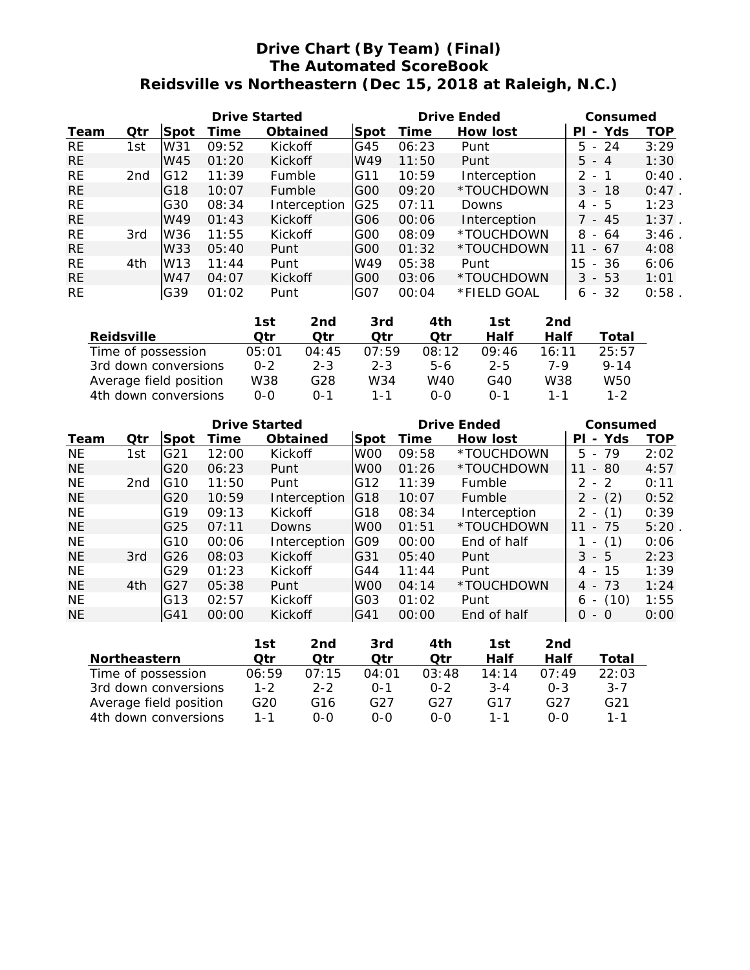# **Drive Chart (By Team) (Final) The Automated ScoreBook Reidsville vs Northeastern (Dec 15, 2018 at Raleigh, N.C.)**

|           |     |                 | <b>Drive Started</b> |                 |                 |       | <b>Drive Ended</b> | Consumed            |          |  |
|-----------|-----|-----------------|----------------------|-----------------|-----------------|-------|--------------------|---------------------|----------|--|
| Team      | Qtr | Spot            | Time                 | <b>Obtained</b> | Spot            | Time  | <b>How lost</b>    | Yds<br>ΡI<br>$\sim$ | TOP      |  |
| RE.       | 1st | W31             | 09:52                | <b>Kickoff</b>  | G45             | 06:23 | Punt               | $-24$<br>5.         | 3:29     |  |
| <b>RE</b> |     | W45             | 01:20                | Kickoff         | W49             | 11:50 | Punt               | $5 - 4$             | 1:30     |  |
| <b>RE</b> | 2nd | G12             | 11:39                | Fumble          | G11             | 10:59 | Interception       | 2<br>- 1            | 0:40     |  |
| <b>RE</b> |     | G18             | 10:07                | Fumble          | G <sub>00</sub> | 09:20 | *TOUCHDOWN         | $3 - 18$            | $0:47$ . |  |
| <b>RE</b> |     | G30             | 08:34                | Interception    | G25             | 07:11 | <b>Downs</b>       | - 5<br>4            | 1:23     |  |
| <b>RE</b> |     | W49             | 01:43                | Kickoff         | G <sub>06</sub> | 00:06 | Interception       | - 45                | 1:37     |  |
| <b>RE</b> | 3rd | W36             | 11:55                | Kickoff         | GOO             | 08:09 | *TOUCHDOWN         | 8<br>-64<br>$\sim$  | 3:46     |  |
| <b>RE</b> |     | W33             | 05:40                | Punt            | G00             | 01:32 | *TOUCHDOWN         | $-67$<br>11         | 4:08     |  |
| <b>RE</b> | 4th | W <sub>13</sub> | 11:44                | Punt            | W49             | 05:38 | Punt               | 15<br>$-36$         | 6:06     |  |
| <b>RE</b> |     | W47             | 04:07                | Kickoff         | G <sub>00</sub> | 03:06 | *TOUCHDOWN         | 3<br>- 53           | 1:01     |  |
| <b>RE</b> |     | G39             | 01:02                | Punt            | G07             | 00:04 | *FIELD GOAL        | $-32$<br>6          | 0:58     |  |

|                        | 1st     | 2nd     | 3rd     | 4th   | 1st     | 2nd   |          |
|------------------------|---------|---------|---------|-------|---------|-------|----------|
| <b>Reidsville</b>      | Otr     | Otr     | Qtr     | Otr   | Half    | Half  | Total    |
| Time of possession     | 05:01   | 04:45   | 07:59   | 08:12 | 09:46   | 16:11 | 25:57    |
| 3rd down conversions   | $0 - 2$ | $2 - 3$ | $2 - 3$ | $5-6$ | $2 - 5$ | 7-9   | $9 - 14$ |
| Average field position | W38     | G28     | W34     | W40   | G40     | W38   | W50      |
| 4th down conversions   | $0 - 0$ | ი-1     | 1 - 1   | $O-O$ | $0 - 1$ | 1 - 1 | $1 - 2$  |

|           |     |                 | <b>Drive Started</b> |                 |                 | <b>Drive Ended</b> | Consumed        |                                      |      |
|-----------|-----|-----------------|----------------------|-----------------|-----------------|--------------------|-----------------|--------------------------------------|------|
| Team      | Qtr | Spot            | <b>Time</b>          | <b>Obtained</b> | Spot            | Time               | <b>How lost</b> | - Yds<br>ΡI                          | TOP  |
| NE.       | 1st | G21             | 12:00                | Kickoff         | W <sub>00</sub> | 09:58              | *TOUCHDOWN      | 5.<br>- 79                           | 2:02 |
| <b>NE</b> |     | G20             | 06:23                | Punt            | W <sub>00</sub> | 01:26              | *TOUCHDOWN      | 80<br>11<br>$\overline{\phantom{a}}$ | 4:57 |
| <b>NE</b> | 2nd | IG10            | 11:50                | Punt            | G12             | 11:39              | Fumble          | 2 - 2                                | 0:11 |
| <b>NE</b> |     | G <sub>20</sub> | 10:59                | Interception    | IG18            | 10:07              | Fumble          | (2)<br>2<br>$\overline{\phantom{a}}$ | 0:52 |
| <b>NE</b> |     | G <sub>19</sub> | 09:13                | Kickoff         | G18             | 08:34              | Interception    | (1)                                  | 0:39 |
| NE.       |     | G <sub>25</sub> | 07:11                | Downs           | W <sub>00</sub> | 01:51              | *TOUCHDOWN      | - 75<br>11                           | 5:20 |
| <b>NE</b> |     | IG10            | 00:06                | Interception    | IGO9            | 00:00              | End of half     | (1)                                  | 0:06 |
| <b>NE</b> | 3rd | IG26            | 08:03                | Kickoff         | G31             | 05:40              | Punt            | 3<br>- 5                             | 2:23 |
| <b>NE</b> |     | G <sub>29</sub> | 01:23                | Kickoff         | G44             | 11:44              | Punt            | -15<br>4<br>$\overline{\phantom{0}}$ | 1:39 |
| <b>NE</b> | 4th | IG27            | 05:38                | Punt            | W <sub>00</sub> | 04:14              | *TOUCHDOWN      | $4 - 73$                             | 1:24 |
| <b>NE</b> |     | G13             | 02:57                | Kickoff         | G03             | 01:02              | Punt            | (10)<br>6                            | 1:55 |
| <b>NE</b> |     | IG41            | 00:00                | Kickoff         | G41             | 00:00              | End of half     | O<br>- 0                             | 0:00 |

|                        | 1st     | 2nd     | 3rd   | 4th     | 1st     | 2nd     |                 |
|------------------------|---------|---------|-------|---------|---------|---------|-----------------|
| <b>Northeastern</b>    | Otr     | Otr     | Otr   | Otr     | Half    | Half    | Total           |
| Time of possession     | 06:59   | 07:15   | 04:01 | 03:48   | 14:14   | 07:49   | 22:03           |
| 3rd down conversions   | $1 - 2$ | $2 - 2$ | በ-1   | $0 - 2$ | $3 - 4$ | $0 - 3$ | $3 - 7$         |
| Average field position | G20     | G16     | G27   | G27     | G17     | G27     | G <sub>21</sub> |
| 4th down conversions   | $1 - 1$ | ი-ი     | 0-0   | $O-O$   | 1 - 1   | 0-0     | $1 - 1$         |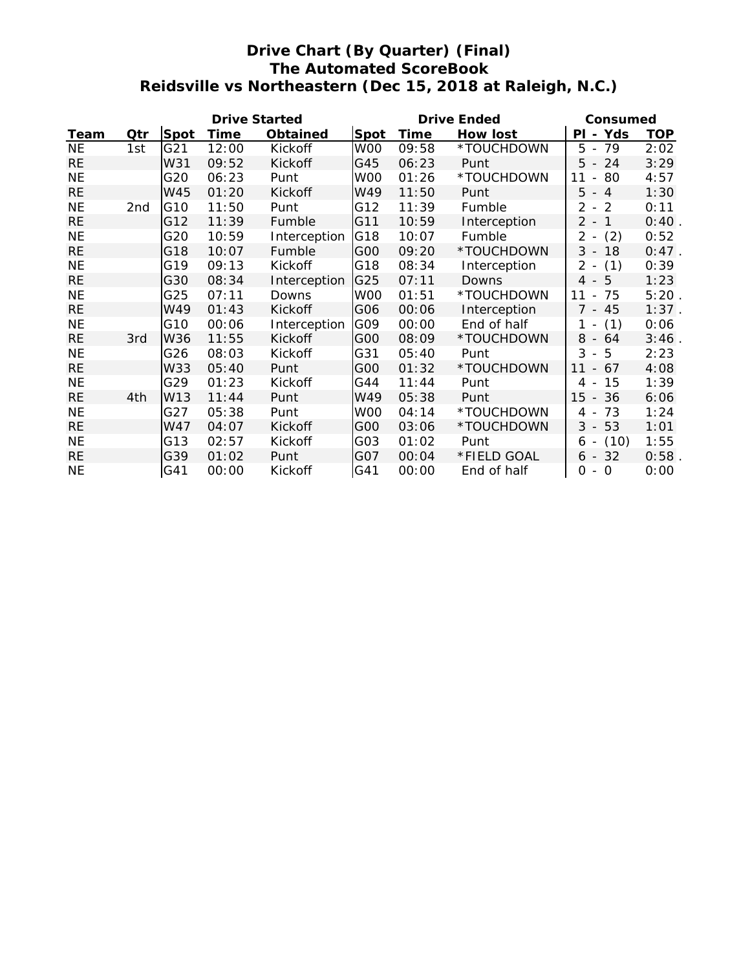# **Drive Chart (By Quarter) (Final) The Automated ScoreBook Reidsville vs Northeastern (Dec 15, 2018 at Raleigh, N.C.)**

|           |                 | <b>Drive Started</b> |       |                 |             | <b>Drive Ended</b> | Consumed        |                            |            |
|-----------|-----------------|----------------------|-------|-----------------|-------------|--------------------|-----------------|----------------------------|------------|
| Team      | Qtr             | <b>Spot</b>          | Time  | <b>Obtained</b> | <b>Spot</b> | Time               | <b>How lost</b> | Yds<br>ΡI                  | <b>TOP</b> |
| <b>NE</b> | 1st             | G21                  | 12:00 | Kickoff         | W00         | 09:58              | *TOUCHDOWN      | 5<br>- 79                  | 2:02       |
| <b>RE</b> |                 | W31                  | 09:52 | Kickoff         | G45         | 06:23              | Punt            | 5<br>24<br>$\sim$          | 3:29       |
| <b>NE</b> |                 | G20                  | 06:23 | Punt            | W00         | 01:26              | *TOUCHDOWN      | 11<br>80<br>$\blacksquare$ | 4:57       |
| <b>RE</b> |                 | W45                  | 01:20 | Kickoff         | W49         | 11:50              | Punt            | 5<br>$-4$                  | 1:30       |
| <b>NE</b> | 2 <sub>nd</sub> | G10                  | 11:50 | Punt            | G12         | 11:39              | Fumble          | 2<br>$-2$                  | 0:11       |
| <b>RE</b> |                 | G12                  | 11:39 | Fumble          | G11         | 10:59              | Interception    | $2 -$<br>$\overline{1}$    | 0:40       |
| <b>NE</b> |                 | G20                  | 10:59 | Interception    | G18         | 10:07              | Fumble          | $2 -$<br>(2)               | 0:52       |
| <b>RE</b> |                 | G18                  | 10:07 | Fumble          | G00         | 09:20              | *TOUCHDOWN      | $3 - 18$                   | $0:47$ .   |
| <b>NE</b> |                 | G19                  | 09:13 | Kickoff         | G18         | 08:34              | Interception    | $2 -$<br>(1)               | 0:39       |
| <b>RE</b> |                 | G30                  | 08:34 | Interception    | G25         | 07:11              | Downs           | $4 - 5$                    | 1:23       |
| <b>NE</b> |                 | G25                  | 07:11 | Downs           | W00         | 01:51              | *TOUCHDOWN      | $-75$<br>11                | 5:20       |
| <b>RE</b> |                 | W49                  | 01:43 | Kickoff         | G06         | 00:06              | Interception    | $7 - 45$                   | $1:37$ .   |
| <b>NE</b> |                 | G10                  | 00:06 | Interception    | G09         | 00:00              | End of half     | (1)<br>$1 -$               | 0:06       |
| <b>RE</b> | 3rd             | W36                  | 11:55 | Kickoff         | G00         | 08:09              | *TOUCHDOWN      | $8 - 64$                   | 3:46       |
| <b>NE</b> |                 | G26                  | 08:03 | Kickoff         | G31         | 05:40              | Punt            | 3<br>$-5$                  | 2:23       |
| <b>RE</b> |                 | W33                  | 05:40 | Punt            | G00         | 01:32              | *TOUCHDOWN      | 11<br>$-67$                | 4:08       |
| <b>NE</b> |                 | G29                  | 01:23 | Kickoff         | G44         | 11:44              | Punt            | 15<br>4 -                  | 1:39       |
| <b>RE</b> | 4th             | W13                  | 11:44 | Punt            | W49         | 05:38              | Punt            | $15 - 36$                  | 6:06       |
| <b>NE</b> |                 | G27                  | 05:38 | Punt            | W00         | 04:14              | *TOUCHDOWN      | 73<br>4 -                  | 1:24       |
| <b>RE</b> |                 | W47                  | 04:07 | Kickoff         | G00         | 03:06              | *TOUCHDOWN      | $3 - 53$                   | 1:01       |
| <b>NE</b> |                 | G13                  | 02:57 | Kickoff         | G03         | 01:02              | Punt            | (10)<br>$6 -$              | 1:55       |
| <b>RE</b> |                 | G39                  | 01:02 | Punt            | G07         | 00:04              | *FIELD GOAL     | $6 - 32$                   | 0:58       |
| <b>NE</b> |                 | G41                  | 00:00 | Kickoff         | G41         | 00:00              | End of half     | 0<br>$-0$                  | 0:00       |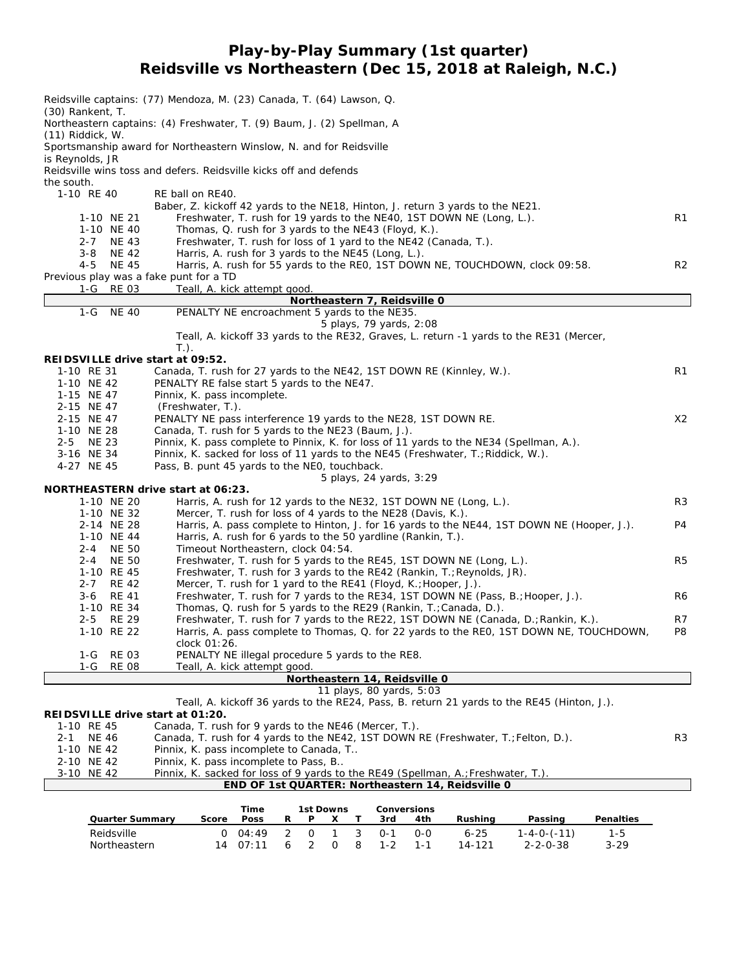# **Play-by-Play Summary (1st quarter) Reidsville vs Northeastern (Dec 15, 2018 at Raleigh, N.C.)**

|                                                               | Reidsville captains: (77) Mendoza, M. (23) Canada, T. (64) Lawson, Q.                                                                                   |                |
|---------------------------------------------------------------|---------------------------------------------------------------------------------------------------------------------------------------------------------|----------------|
| $(30)$ Rankent, T.<br>$(11)$ Riddick, W.                      | Northeastern captains: (4) Freshwater, T. (9) Baum, J. (2) Spellman, A                                                                                  |                |
| is Reynolds, JR                                               | Sportsmanship award for Northeastern Winslow, N. and for Reidsville                                                                                     |                |
| the south.                                                    | Reidsville wins toss and defers. Reidsville kicks off and defends                                                                                       |                |
| 1-10 RE 40                                                    | RE ball on RE40.<br>Baber, Z. kickoff 42 yards to the NE18, Hinton, J. return 3 yards to the NE21.                                                      |                |
| 1-10 NE 21<br>1-10 NE 40                                      | Freshwater, T. rush for 19 yards to the NE40, 1ST DOWN NE (Long, L.).<br>Thomas, Q. rush for 3 yards to the NE43 (Floyd, K.).                           | R1             |
| 2-7 NE 43<br><b>NE 42</b><br>3-8                              | Freshwater, T. rush for loss of 1 yard to the NE42 (Canada, T.).<br>Harris, A. rush for 3 yards to the NE45 (Long, L.).                                 |                |
| 4-5<br><b>NE 45</b><br>Previous play was a fake punt for a TD | Harris, A. rush for 55 yards to the REO, 1ST DOWN NE, TOUCHDOWN, clock 09:58.                                                                           | R <sub>2</sub> |
| 1-G RE 03                                                     | Teall, A. kick attempt good.                                                                                                                            |                |
|                                                               | Northeastern 7, Reidsville 0                                                                                                                            |                |
| $1-G$<br><b>NE 40</b>                                         | PENALTY NE encroachment 5 yards to the NE35.                                                                                                            |                |
|                                                               | 5 plays, 79 yards, 2:08                                                                                                                                 |                |
|                                                               | Teall, A. kickoff 33 yards to the RE32, Graves, L. return -1 yards to the RE31 (Mercer,<br>$T.$ ).                                                      |                |
| REIDSVILLE drive start at 09:52.                              |                                                                                                                                                         |                |
| 1-10 RE 31<br>1-10 NE 42                                      | Canada, T. rush for 27 yards to the NE42, 1ST DOWN RE (Kinnley, W.).<br>PENALTY RE false start 5 yards to the NE47.                                     | R <sub>1</sub> |
| 1-15 NE 47                                                    | Pinnix, K. pass incomplete.                                                                                                                             |                |
| 2-15 NE 47                                                    | (Freshwater, T.).                                                                                                                                       |                |
| 2-15 NE 47                                                    | PENALTY NE pass interference 19 yards to the NE28, 1ST DOWN RE.                                                                                         | X <sub>2</sub> |
| 1-10 NE 28                                                    | Canada, T. rush for 5 yards to the NE23 (Baum, J.).                                                                                                     |                |
| 2-5 NE 23                                                     | Pinnix, K. pass complete to Pinnix, K. for loss of 11 yards to the NE34 (Spellman, A.).                                                                 |                |
| 3-16 NE 34                                                    | Pinnix, K. sacked for loss of 11 yards to the NE45 (Freshwater, T.; Riddick, W.).                                                                       |                |
| 4-27 NE 45                                                    | Pass, B. punt 45 yards to the NEO, touchback.                                                                                                           |                |
|                                                               | 5 plays, 24 yards, 3:29                                                                                                                                 |                |
|                                                               | NORTHEASTERN drive start at 06:23.                                                                                                                      |                |
| 1-10 NE 20                                                    | Harris, A. rush for 12 yards to the NE32, 1ST DOWN NE (Long, L.).                                                                                       | R <sub>3</sub> |
| 1-10 NE 32                                                    | Mercer, T. rush for loss of 4 yards to the NE28 (Davis, K.).                                                                                            |                |
| 2-14 NE 28                                                    | Harris, A. pass complete to Hinton, J. for 16 yards to the NE44, 1ST DOWN NE (Hooper, J.).                                                              | P <sub>4</sub> |
| 1-10 NE 44                                                    | Harris, A. rush for 6 yards to the 50 yardline (Rankin, T.).                                                                                            |                |
| 2-4 NE 50                                                     | Timeout Northeastern, clock 04:54.                                                                                                                      |                |
| 2-4 NE 50                                                     | Freshwater, T. rush for 5 yards to the RE45, 1ST DOWN NE (Long, L.).                                                                                    | R <sub>5</sub> |
| 1-10 RE 45                                                    | Freshwater, T. rush for 3 yards to the RE42 (Rankin, T.; Reynolds, JR).                                                                                 |                |
| $2 - 7$<br><b>RE 42</b>                                       | Mercer, T. rush for 1 yard to the RE41 (Floyd, K.; Hooper, J.).                                                                                         |                |
| 3-6<br>RE 41                                                  | Freshwater, T. rush for 7 yards to the RE34, 1ST DOWN NE (Pass, B.; Hooper, J.).                                                                        | R6             |
| 1-10 RE 34<br>2-5 RE 29                                       | Thomas, Q. rush for 5 yards to the RE29 (Rankin, T.; Canada, D.).<br>Freshwater, T. rush for 7 yards to the RE22, 1ST DOWN NE (Canada, D.; Rankin, K.). | R7             |
| 1-10 RE 22                                                    | Harris, A. pass complete to Thomas, Q. for 22 yards to the REO, 1ST DOWN NE, TOUCHDOWN,                                                                 | P8             |
|                                                               | clock 01:26.                                                                                                                                            |                |
| <b>RE 03</b><br>1-G                                           | PENALTY NE illegal procedure 5 yards to the RE8.                                                                                                        |                |
| $1-G$<br><b>RE 08</b>                                         | Teall, A. kick attempt good.                                                                                                                            |                |
|                                                               | Northeastern 14, Reidsville 0                                                                                                                           |                |
|                                                               | 11 plays, 80 yards, 5:03                                                                                                                                |                |
|                                                               | Teall, A. kickoff 36 yards to the RE24, Pass, B. return 21 yards to the RE45 (Hinton, J.).                                                              |                |
| REIDSVILLE drive start at 01:20.                              |                                                                                                                                                         |                |
| 1-10 RE 45                                                    | Canada, T. rush for 9 yards to the NE46 (Mercer, T.).                                                                                                   |                |
| <b>NE 46</b><br>2-1                                           | Canada, T. rush for 4 yards to the NE42, 1ST DOWN RE (Freshwater, T.; Felton, D.).                                                                      | R <sub>3</sub> |
| 1-10 NE 42                                                    | Pinnix, K. pass incomplete to Canada, T                                                                                                                 |                |
| 2-10 NE 42                                                    | Pinnix, K. pass incomplete to Pass, B                                                                                                                   |                |
| 3-10 NE 42                                                    | Pinnix, K. sacked for loss of 9 yards to the RE49 (Spellman, A.; Freshwater, T.).                                                                       |                |
|                                                               | END OF 1st QUARTER: Northeastern 14, Reidsville 0                                                                                                       |                |
|                                                               | Time<br>1st Downs<br>Conversions                                                                                                                        |                |
| <b>Quarter Summary</b>                                        | Score<br>Poss<br>R<br>Rushing<br>Passing<br>Penalties<br>Ρ<br>3rd<br>4th<br>x<br>T.                                                                     |                |
| Reidsville                                                    | $\overline{2}$<br>3<br>04:49<br>0<br>$\mathbf{1}$<br>$0 - 1$<br>$6 - 25$<br>$1 - 4 - 0 - (-11)$<br>$1 - 5$<br>$\mathbf{O}$<br>$0-0$                     |                |

Northeastern 14 07:11 6 2 0 8 1-2 1-1 14-121 2-2-0-38 3-29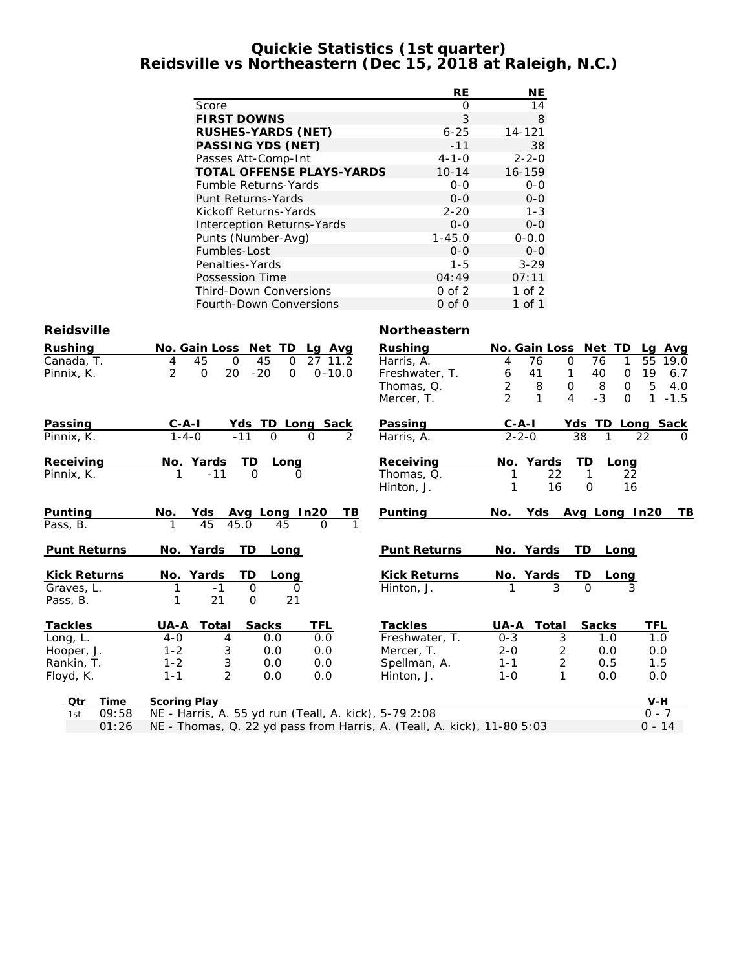### **Quickie Statistics (1st quarter) Reidsville vs Northeastern (Dec 15, 2018 at Raleigh, N.C.)**

|                                  | RE          | NE          |
|----------------------------------|-------------|-------------|
| Score                            | Ω           | 14          |
| <b>FIRST DOWNS</b>               | 3           | 8           |
| <b>RUSHES-YARDS (NET)</b>        | $6 - 25$    | $14 - 121$  |
| <b>PASSING YDS (NET)</b>         | $-11$       | 38          |
| Passes Att-Comp-Int              | $4 - 1 - 0$ | $2 - 2 - 0$ |
| <b>TOTAL OFFENSE PLAYS-YARDS</b> | $10 - 14$   | 16-159      |
| Fumble Returns-Yards             | $0 - 0$     | $0 - 0$     |
| Punt Returns-Yards               | $0 - 0$     | $0 - 0$     |
| Kickoff Returns-Yards            | $2 - 20$    | $1 - 3$     |
| Interception Returns-Yards       | $0 - 0$     | $0 - 0$     |
| Punts (Number-Avg)               | $1 - 45.0$  | $0 - 0.0$   |
| Fumbles-Lost                     | $0 - 0$     | $0 - 0$     |
| Penalties-Yards                  | $1 - 5$     | $3 - 29$    |
| Possession Time                  | 04:49       | 07:11       |
| <b>Third-Down Conversions</b>    | $0$ of $2$  | 1 of $2$    |
| <b>Fourth-Down Conversions</b>   | $0$ of $0$  | 1 of 1      |

#### **Reidsville Northeastern**

| <b>Rushing</b>      | No. Gain Loss<br>Net TD<br>Lg Avg                                      | <b>Rushing</b>      | No. Gain Loss       | Net TD                | Avg<br>La                          |
|---------------------|------------------------------------------------------------------------|---------------------|---------------------|-----------------------|------------------------------------|
| Canada, T.          | 45<br>$\mathbf 0$<br>45<br>27 11.2<br>$\Omega$<br>4                    | Harris, A.          | 76<br>4             | $\mathbf 0$<br>76     | 55<br>19.0<br>1                    |
| Pinnix, K.          | $\overline{2}$<br>20<br>$-20$<br>$0 - 10.0$<br>$\mathbf 0$<br>$\Omega$ | Freshwater, T.      | 6<br>41             | $\mathbf{1}$<br>40    | 19<br>6.7<br>$\mathbf 0$           |
|                     |                                                                        | Thomas, Q.          | $\overline{2}$<br>8 | $\mathsf{O}$<br>8     | 5<br>$\Omega$<br>4.0               |
|                     |                                                                        | Mercer, T.          | $\mathfrak{D}$<br>1 | $-3$<br>4             | $\mathbf{1}$<br>$\Omega$<br>$-1.5$ |
| <b>Passing</b>      | $C - A - I$<br>Yds TD Long Sack                                        | Passing             | $C - A - I$         |                       | Yds TD Long Sack                   |
| Pinnix, K.          | $1 - 4 - 0$<br>$-11$<br>$\Omega$<br>$\mathcal{P}$<br>$\Omega$          | Harris, A.          | $2 - 2 - 0$         | 38                    | 22<br>$\Omega$                     |
| Receiving           | No. Yards<br>TD<br>Long                                                | Receiving           | No. Yards           | TD                    | Long                               |
| Pinnix, K.          | $\Omega$<br>$-11$<br>O                                                 | Thomas, Q.          | $\overline{22}$     |                       | 22                                 |
|                     |                                                                        | Hinton, J.          | 16                  | $\mathbf 0$           | 16                                 |
| Punting             | Yds<br>Avg Long In20<br>No.                                            | Punting<br>TВ       | Yds<br>No.          | Avg Long In20         | ΤB                                 |
| Pass, B.            | 45<br>45.0<br>45<br>$\Omega$                                           |                     |                     |                       |                                    |
|                     |                                                                        |                     |                     |                       |                                    |
| <b>Punt Returns</b> | TD.<br>No. Yards<br>Long                                               | <b>Punt Returns</b> | No. Yards           | TD.                   | Long                               |
| <b>Kick Returns</b> | TD<br>No. Yards<br>Long                                                | <b>Kick Returns</b> | No. Yards           | TD                    | Long                               |
| Graves, L.          | $\mathbf 0$<br>$-1$<br>0                                               | Hinton, J.          | 3                   | $\Omega$              |                                    |
| Pass, B.            | 21<br>$\mathbf 0$<br>21                                                |                     |                     |                       |                                    |
| <b>Tackles</b>      | Total<br><b>Sacks</b><br>TFL<br>UA-A                                   | <b>Tackles</b>      | UA-A<br>Total       | <b>Sacks</b>          | TFL                                |
| Long, L.            | 0.0<br>0.0<br>$4-0$<br>4                                               | Freshwater, T.      | $0 - 3$             | $\overline{3}$<br>1.0 | 1.0                                |
| Hooper, J.          | 3<br>0.0<br>0.0<br>$1 - 2$                                             | Mercer, T.          | $2 - 0$             | 2<br>0.0              | 0.0                                |
| Rankin, T.          | $\ensuremath{\mathsf{3}}$<br>$1 - 2$<br>0.0<br>0.0                     | Spellman, A.        | $1 - 1$             | $\overline{c}$<br>0.5 | 1.5                                |
| Floyd, K.           | $\overline{2}$<br>$1 - 1$<br>0.0<br>0.0                                | Hinton, J.          | $1 - 0$             | 1<br>0.0              | 0.0                                |
| Qtr<br>Time         | <b>Scoring Play</b>                                                    |                     |                     |                       | V-H                                |
| 09:58<br>1st        | NE - Harris, A. 55 yd run (Teall, A. kick), 5-79 2:08                  |                     |                     |                       | $0 - 7$                            |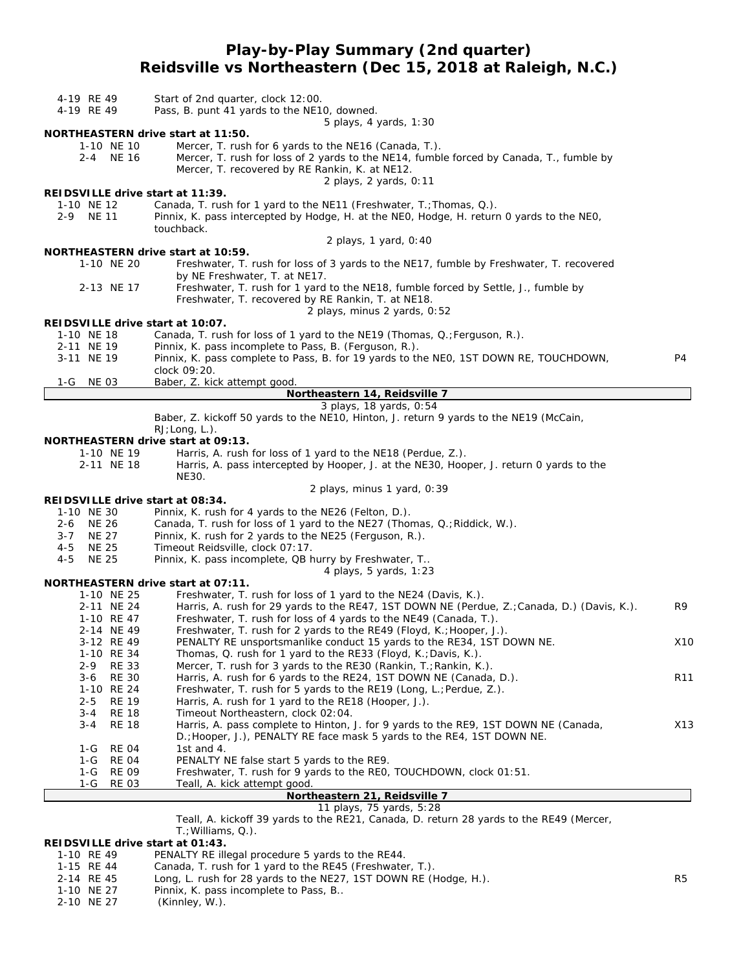## **Play-by-Play Summary (2nd quarter) Reidsville vs Northeastern (Dec 15, 2018 at Raleigh, N.C.)**

| 4-19 RE 49<br>4-19 RE 49                           | Start of 2nd quarter, clock 12:00.<br>Pass, B. punt 41 yards to the NE10, downed.                                                                                                                                                               |                 |
|----------------------------------------------------|-------------------------------------------------------------------------------------------------------------------------------------------------------------------------------------------------------------------------------------------------|-----------------|
|                                                    | 5 plays, 4 yards, 1:30                                                                                                                                                                                                                          |                 |
| 1-10 NE 10<br>2-4 NE 16                            | <b>NORTHEASTERN drive start at 11:50.</b><br>Mercer, T. rush for 6 yards to the NE16 (Canada, T.).<br>Mercer, T. rush for loss of 2 yards to the NE14, fumble forced by Canada, T., fumble by<br>Mercer, T. recovered by RE Rankin, K. at NE12. |                 |
|                                                    | 2 plays, 2 yards, 0:11                                                                                                                                                                                                                          |                 |
| REIDSVILLE drive start at 11:39.<br>1-10 NE 12     | Canada, T. rush for 1 yard to the NE11 (Freshwater, T.; Thomas, Q.).                                                                                                                                                                            |                 |
| $2 - 9$<br><b>NE 11</b>                            | Pinnix, K. pass intercepted by Hodge, H. at the NEO, Hodge, H. return 0 yards to the NEO,<br>touchback.                                                                                                                                         |                 |
|                                                    | 2 plays, 1 yard, 0:40                                                                                                                                                                                                                           |                 |
|                                                    | NORTHEASTERN drive start at 10:59.                                                                                                                                                                                                              |                 |
| 1-10 NE 20                                         | Freshwater, T. rush for loss of 3 yards to the NE17, fumble by Freshwater, T. recovered<br>by NE Freshwater, T. at NE17.                                                                                                                        |                 |
| 2-13 NE 17                                         | Freshwater, T. rush for 1 yard to the NE18, fumble forced by Settle, J., fumble by<br>Freshwater, T. recovered by RE Rankin, T. at NE18.                                                                                                        |                 |
|                                                    | 2 plays, minus 2 yards, 0:52                                                                                                                                                                                                                    |                 |
| REIDSVILLE drive start at 10:07.                   |                                                                                                                                                                                                                                                 |                 |
| 1-10 NE 18<br>2-11 NE 19                           | Canada, T. rush for loss of 1 yard to the NE19 (Thomas, Q.; Ferguson, R.).<br>Pinnix, K. pass incomplete to Pass, B. (Ferguson, R.).                                                                                                            |                 |
| 3-11 NE 19                                         | Pinnix, K. pass complete to Pass, B. for 19 yards to the NEO, 1ST DOWN RE, TOUCHDOWN,                                                                                                                                                           | P4              |
|                                                    | clock 09:20.                                                                                                                                                                                                                                    |                 |
| <b>NE_03</b><br>1-G                                | Baber, Z. kick attempt good                                                                                                                                                                                                                     |                 |
|                                                    | Northeastern 14, Reidsville 7                                                                                                                                                                                                                   |                 |
|                                                    | 3 plays, 18 yards, 0:54<br>Baber, Z. kickoff 50 yards to the NE10, Hinton, J. return 9 yards to the NE19 (McCain,                                                                                                                               |                 |
|                                                    | RJ; Long, L.).                                                                                                                                                                                                                                  |                 |
|                                                    | <b>NORTHEASTERN drive start at 09:13.</b>                                                                                                                                                                                                       |                 |
| 1-10 NE 19                                         | Harris, A. rush for loss of 1 yard to the NE18 (Perdue, Z.).                                                                                                                                                                                    |                 |
| 2-11 NE 18                                         | Harris, A. pass intercepted by Hooper, J. at the NE30, Hooper, J. return 0 yards to the<br>NE30.                                                                                                                                                |                 |
|                                                    | 2 plays, minus 1 yard, 0:39                                                                                                                                                                                                                     |                 |
| REIDSVILLE drive start at 08:34.                   |                                                                                                                                                                                                                                                 |                 |
| 1-10 NE 30                                         | Pinnix, K. rush for 4 yards to the NE26 (Felton, D.).                                                                                                                                                                                           |                 |
| NE 26<br>2-6                                       | Canada, T. rush for loss of 1 yard to the NE27 (Thomas, Q.; Riddick, W.).                                                                                                                                                                       |                 |
| $3 - 7$<br><b>NE 27</b><br>$4 - 5$<br><b>NE 25</b> | Pinnix, K. rush for 2 yards to the NE25 (Ferguson, R.).<br>Timeout Reidsville, clock 07:17.                                                                                                                                                     |                 |
| <b>NE 25</b><br>4-5                                | Pinnix, K. pass incomplete, QB hurry by Freshwater, T                                                                                                                                                                                           |                 |
|                                                    | 4 plays, 5 yards, 1:23                                                                                                                                                                                                                          |                 |
|                                                    | NORTHEASTERN drive start at 07:11.                                                                                                                                                                                                              |                 |
| 1-10 NE 25                                         | Freshwater, T. rush for loss of 1 yard to the NE24 (Davis, K.).                                                                                                                                                                                 |                 |
| 2-11 NE 24                                         | Harris, A. rush for 29 yards to the RE47, 1ST DOWN NE (Perdue, Z.; Canada, D.) (Davis, K.).<br>Freshwater, T. rush for loss of 4 yards to the NE49 (Canada, T.).                                                                                | R9              |
| 1-10 RE 47<br>2-14 NE 49                           | Freshwater, T. rush for 2 yards to the RE49 (Floyd, K.; Hooper, J.).                                                                                                                                                                            |                 |
| 3-12 RE 49                                         | PENALTY RE unsportsmanlike conduct 15 yards to the RE34, 1ST DOWN NE.                                                                                                                                                                           | X10             |
| 1-10 RE 34                                         | Thomas, Q. rush for 1 yard to the RE33 (Floyd, K.; Davis, K.).                                                                                                                                                                                  |                 |
| 2-9<br><b>RE 33</b>                                | Mercer, T. rush for 3 yards to the RE30 (Rankin, T.; Rankin, K.).                                                                                                                                                                               |                 |
| <b>RE 30</b><br>3-6                                | Harris, A. rush for 6 yards to the RE24, 1ST DOWN NE (Canada, D.).                                                                                                                                                                              | R <sub>11</sub> |
| 1-10 RE 24<br><b>RE 19</b><br>$2 - 5$              | Freshwater, T. rush for 5 yards to the RE19 (Long, L.; Perdue, Z.).<br>Harris, A. rush for 1 yard to the RE18 (Hooper, J.).                                                                                                                     |                 |
| <b>RE 18</b><br>3-4                                | Timeout Northeastern, clock 02:04.                                                                                                                                                                                                              |                 |
| $3 - 4$<br><b>RE 18</b>                            | Harris, A. pass complete to Hinton, J. for 9 yards to the RE9, 1ST DOWN NE (Canada,                                                                                                                                                             | X13             |
|                                                    | D.; Hooper, J.), PENALTY RE face mask 5 yards to the RE4, 1ST DOWN NE.                                                                                                                                                                          |                 |
| <b>RE 04</b><br>1-G                                | 1st and 4.                                                                                                                                                                                                                                      |                 |
| 1-G<br>RE 04<br><b>RE 09</b><br>1-G                | PENALTY NE false start 5 yards to the RE9.<br>Freshwater, T. rush for 9 yards to the REO, TOUCHDOWN, clock 01:51.                                                                                                                               |                 |
| 1-G<br><b>RE 03</b>                                | Teall, A. kick attempt good.                                                                                                                                                                                                                    |                 |
|                                                    | Northeastern 21, Reidsville 7                                                                                                                                                                                                                   |                 |
|                                                    | 11 plays, 75 yards, 5:28                                                                                                                                                                                                                        |                 |
|                                                    | Teall, A. kickoff 39 yards to the RE21, Canada, D. return 28 yards to the RE49 (Mercer,                                                                                                                                                         |                 |
| REIDSVILLE drive start at 01:43.                   | $T$ .; Williams, Q.).                                                                                                                                                                                                                           |                 |
| 1-10 RE 49                                         | PENALTY RE illegal procedure 5 yards to the RE44.                                                                                                                                                                                               |                 |

- 1-15 RE 44 Canada, T. rush for 1 yard to the RE45 (Freshwater, T.).
- 2-14 RE 45 Long, L. rush for 28 yards to the NE27, 1ST DOWN RE (Hodge, H.). R5
- 1-10 NE 27 Pinnix, K. pass incomplete to Pass, B..
- 2-10 NE 27 (Kinnley, W.).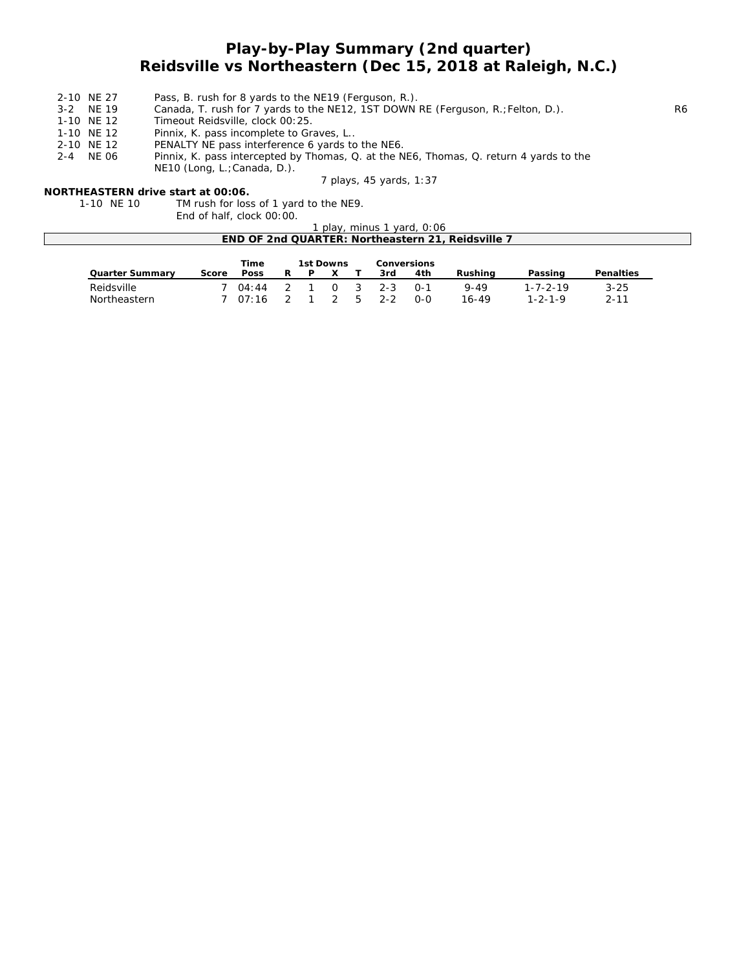# **Play-by-Play Summary (2nd quarter) Reidsville vs Northeastern (Dec 15, 2018 at Raleigh, N.C.)**

- 2-10 NE 27 Pass, B. rush for 8 yards to the NE19 (Ferguson, R.).
- 3-2 NE 19 Canada, T. rush for 7 yards to the NE12, 1ST DOWN RE (Ferguson, R.; Felton, D.).<br>1-10 NE 12 Timeout Reidsville, clock 00:25.
- Timeout Reidsville, clock 00:25.
- 1-10 NE 12 Pinnix, K. pass incomplete to Graves, L..
- 
- 2-10 NE 12 PENALTY NE pass interference 6 yards to the NE6.<br>2-4 NE 06 Pinnix, K. pass intercepted by Thomas, Q. at the N Pinnix, K. pass intercepted by Thomas, Q. at the NE6, Thomas, Q. return 4 yards to the
	- NE10 (Long, L.;Canada, D.).

*7 plays, 45 yards, 1:37*

#### **NORTHEASTERN drive start at 00:06.**

1-10 NE 10 TM rush for loss of 1 yard to the NE9. End of half, clock 00:00.

| 1 play, minus 1 yard, 0:06                        |  |
|---------------------------------------------------|--|
| END OF 2nd QUARTER: Northeastern 21, Reidsville 7 |  |

|                        |       | Time    | 1st Downs |     |         | <b>Conversions</b> |          |                  |                  |
|------------------------|-------|---------|-----------|-----|---------|--------------------|----------|------------------|------------------|
| <b>Quarter Summary</b> | Score | Poss    | P         |     | 3rd     | 4th                | Rushina  | Passing          | <b>Penalties</b> |
| Reidsville             |       | 04:44   |           | - 3 | $2 - 3$ | ∩-1                | $9 - 49$ | $1 - 7 - 2 - 19$ | $3 - 25$         |
| Northeastern           |       | 7 07:16 |           | _ Ҕ | $2 - 2$ | റ-റ                | 16-49    | $1 - 2 - 1 - 9$  | $2 - 11$         |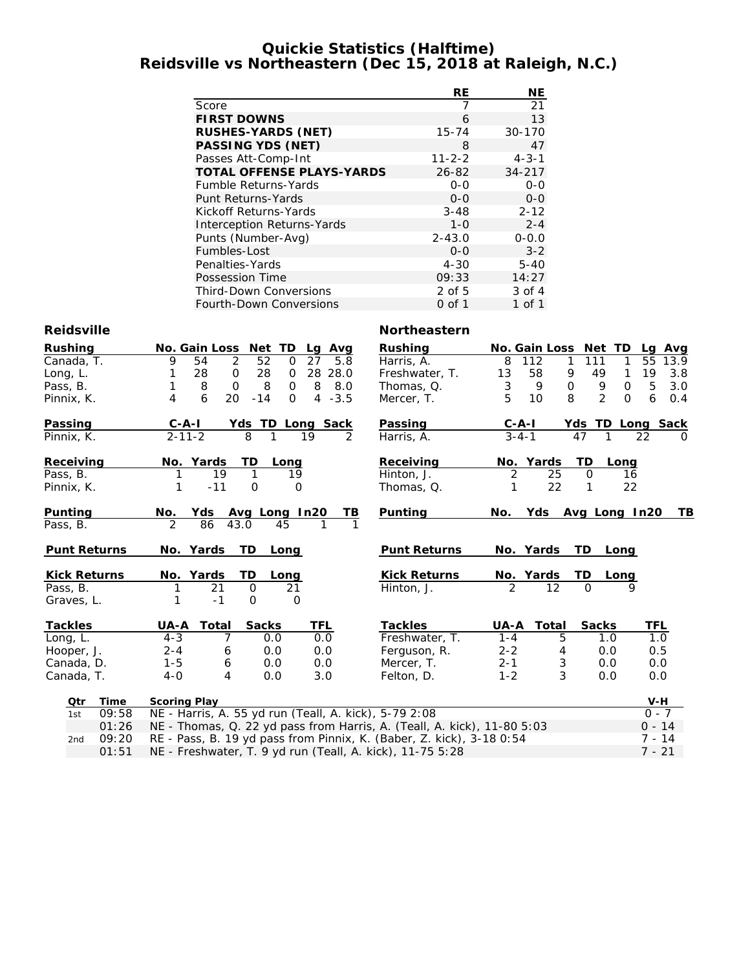#### **Quickie Statistics (Halftime) Reidsville vs Northeastern (Dec 15, 2018 at Raleigh, N.C.)**

|                                   | RE           | NE          |
|-----------------------------------|--------------|-------------|
| Score                             |              | 21          |
| <b>FIRST DOWNS</b>                | 6            | 13          |
| <b>RUSHES-YARDS (NET)</b>         | $15 - 74$    | 30-170      |
| <b>PASSING YDS (NET)</b>          | 8            | 47          |
| Passes Att-Comp-Int               | $11 - 2 - 2$ | $4 - 3 - 1$ |
| <b>TOTAL OFFENSE PLAYS-YARDS</b>  | $26 - 82$    | $34 - 217$  |
| Fumble Returns-Yards              | $0 - 0$      | $0 - 0$     |
| Punt Returns-Yards                | $0 - 0$      | $0 - 0$     |
| Kickoff Returns-Yards             | $3 - 48$     | $2 - 12$    |
| <b>Interception Returns-Yards</b> | $1 - 0$      | $2 - 4$     |
| Punts (Number-Avg)                | $2 - 43.0$   | $0 - 0.0$   |
| Fumbles-Lost                      | $0 - 0$      | $3 - 2$     |
| Penalties-Yards                   | $4 - 30$     | $5 - 40$    |
| Possession Time                   | 09:33        | 14:27       |
| <b>Third-Down Conversions</b>     | 2 of 5       | $3$ of $4$  |
| <b>Fourth-Down Conversions</b>    | 0 of 1       | 1 of 1      |

#### **Reidsville Northeastern**

| Rushing        |     |                     |                     | No. Gain Loss Net TD |               |             | Lg Avg           | Rushing                                                                 |                | <b>No. Gain Loss</b> | Net TD             |              | Lg Avg           |
|----------------|-----|---------------------|---------------------|----------------------|---------------|-------------|------------------|-------------------------------------------------------------------------|----------------|----------------------|--------------------|--------------|------------------|
| Canada, T.     |     |                     | 9                   | 2<br>54              | 52            | $\mathbf 0$ | 27<br>5.8        | Harris, A.                                                              | 8              | 112                  | 111<br>1           | 1            | 55<br>13.9       |
| Long, L.       |     |                     |                     | 28<br>$\mathbf 0$    | 28            | 0           | 28<br>28.0       | Freshwater, T.                                                          | 13             | 58                   | 9<br>49            | 1            | 19<br>3.8        |
| Pass, B.       |     |                     |                     | 8<br>$\Omega$        | 8             | 0           | 8<br>8.0         | Thomas, Q.                                                              | 3              | 9                    | $\mathbf 0$<br>9   | $\mathbf{O}$ | 5<br>3.0         |
| Pinnix, K.     |     |                     | 4                   | 20<br>6              | $-14$         | $\Omega$    | $4 - 3.5$        | Mercer, T.                                                              | 5              | 10                   | $\mathcal{P}$<br>8 | $\Omega$     | 6<br>0.4         |
| Passing        |     |                     | $C - A - I$         |                      |               |             | Yds TD Long Sack | Passing                                                                 |                | $C-A-I$              |                    |              | Yds TD Long Sack |
| Pinnix, K.     |     |                     | $2 - 11 - 2$        |                      | 8             | 1           | 19<br>2          | Harris, A.                                                              |                | $3 - 4 - 1$          | 47                 |              | 22<br>$\Omega$   |
| Receiving      |     |                     |                     | No. Yards            | TD            | Long        |                  | Receiving                                                               |                | No. Yards            | TD                 | Long         |                  |
| Pass, B.       |     |                     | 1                   | 19                   | 1             | 19          |                  | Hinton, J.                                                              | 2              | 25                   | $\Omega$           | 16           |                  |
| Pinnix, K.     |     |                     | 1                   | $-11$                | O             | $\Omega$    |                  | Thomas, Q.                                                              | 1              | 22                   | $\mathbf{1}$       | 22           |                  |
| Punting        |     |                     | No.                 | <b>Yds</b>           | Avg Long In20 |             | TВ               | Punting                                                                 | No.            | Yds                  | Avg Long In20      |              | TВ               |
| Pass, B.       |     |                     | 2                   | 86                   | 43.0          | 45          | 1                |                                                                         |                |                      |                    |              |                  |
|                |     | <b>Punt Returns</b> | No. Yards           |                      | TD            | Long        |                  | <b>Punt Returns</b>                                                     |                | No. Yards            | TD.                | Long         |                  |
|                |     | <b>Kick Returns</b> | No.                 | Yards                | TD            | Long        |                  | <b>Kick Returns</b>                                                     |                | No. Yards            | TD                 | Long         |                  |
| Pass, B.       |     |                     |                     | 21                   | $\Omega$      | 21          |                  | Hinton, J.                                                              | $\mathfrak{D}$ | 12                   | $\Omega$           | $\mathsf Q$  |                  |
| Graves, L.     |     |                     |                     | $-1$                 | $\Omega$      | O           |                  |                                                                         |                |                      |                    |              |                  |
| <b>Tackles</b> |     |                     | UA-A                | Total                | <b>Sacks</b>  |             | <b>TFL</b>       | <b>Tackles</b>                                                          | UA-A           | Total                | <b>Sacks</b>       |              | TFL              |
| Long, L.       |     |                     | $4 - 3$             | 7                    | 0.0           |             | 0.0              | Freshwater, T.                                                          | $1 - 4$        | 5                    | 1.0                |              | 1.0              |
| Hooper, J.     |     |                     | $2 - 4$             | 6                    | 0.0           |             | 0.0              | Ferguson, R.                                                            | $2 - 2$        | 4                    | 0.0                |              | 0.5              |
| Canada, D.     |     |                     | $1 - 5$             | 6                    | 0.0           |             | 0.0              | Mercer, T.                                                              | $2 - 1$        | 3                    | 0.0                |              | 0.0              |
| Canada, T.     |     |                     | $4-0$               | 4                    | 0.0           |             | 3.0              | Felton, D.                                                              | $1 - 2$        | 3                    | 0.0                |              | 0.0              |
|                | Qtr | Time                | <b>Scoring Play</b> |                      |               |             |                  |                                                                         |                |                      |                    |              | V-H              |
|                | 1st | 09:58               |                     |                      |               |             |                  | NE - Harris, A. 55 yd run (Teall, A. kick), 5-79 2:08                   |                |                      |                    |              | $0 - 7$          |
|                |     | 01:26               |                     |                      |               |             |                  | NE - Thomas, Q. 22 yd pass from Harris, A. (Teall, A. kick), 11-80 5:03 |                |                      |                    |              | $0 - 14$         |
|                | 2nd | 09:20               |                     |                      |               |             |                  | RE - Pass, B. 19 yd pass from Pinnix, K. (Baber, Z. kick), 3-18 0:54    |                |                      |                    |              | $7 - 14$         |
|                |     | 01:51               |                     |                      |               |             |                  | NE - Freshwater, T. 9 yd run (Teall, A. kick), 11-75 5:28               |                |                      |                    |              | $7 - 21$         |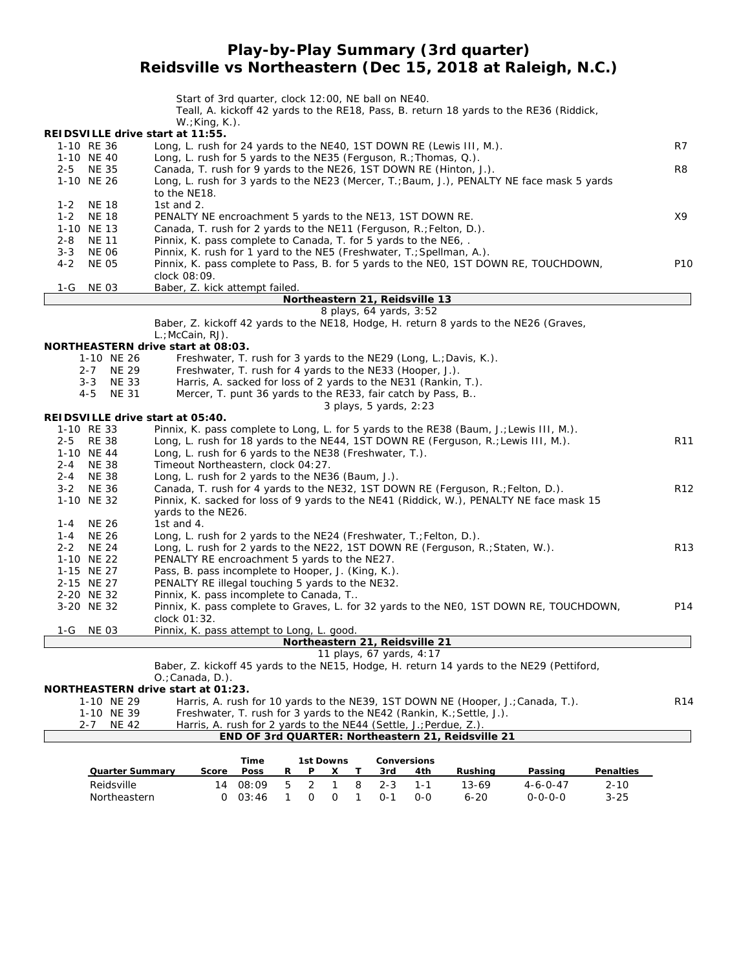## **Play-by-Play Summary (3rd quarter) Reidsville vs Northeastern (Dec 15, 2018 at Raleigh, N.C.)**

|                                | Start of 3rd quarter, clock 12:00, NE ball on NE40.<br>Teall, A. kickoff 42 yards to the RE18, Pass, B. return 18 yards to the RE36 (Riddick, |                 |
|--------------------------------|-----------------------------------------------------------------------------------------------------------------------------------------------|-----------------|
|                                | $W: King, K.$ ).                                                                                                                              |                 |
| 1-10 RE 36                     | REIDSVILLE drive start at 11:55.<br>Long, L. rush for 24 yards to the NE40, 1ST DOWN RE (Lewis III, M.).                                      | R7              |
| 1-10 NE 40                     | Long, L. rush for 5 yards to the NE35 (Ferguson, R.; Thomas, Q.).                                                                             |                 |
| 2-5 NE 35                      | Canada, T. rush for 9 yards to the NE26, 1ST DOWN RE (Hinton, J.).                                                                            | R8              |
| 1-10 NE 26                     | Long, L. rush for 3 yards to the NE23 (Mercer, T.; Baum, J.), PENALTY NE face mask 5 yards                                                    |                 |
|                                | to the NE18.                                                                                                                                  |                 |
| <b>NE 18</b><br>1-2            | 1st and 2.                                                                                                                                    |                 |
| $1 - 2$<br><b>NE 18</b>        | PENALTY NE encroachment 5 yards to the NE13, 1ST DOWN RE.                                                                                     | Х9              |
| 1-10 NE 13<br>NE 11            | Canada, T. rush for 2 yards to the NE11 (Ferguson, R.; Felton, D.).                                                                           |                 |
| 2-8<br>$3 - 3$<br><b>NE 06</b> | Pinnix, K. pass complete to Canada, T. for 5 yards to the NE6, .<br>Pinnix, K. rush for 1 yard to the NE5 (Freshwater, T.; Spellman, A.).     |                 |
| $4 - 2$<br><b>NE 05</b>        | Pinnix, K. pass complete to Pass, B. for 5 yards to the NEO, 1ST DOWN RE, TOUCHDOWN,                                                          | P <sub>10</sub> |
|                                | clock 08:09.                                                                                                                                  |                 |
| 1-G<br>NE 03                   | Baber, Z. kick attempt failed.                                                                                                                |                 |
|                                | Northeastern 21, Reidsville 13                                                                                                                |                 |
|                                | 8 plays, 64 yards, 3:52                                                                                                                       |                 |
|                                | Baber, Z. kickoff 42 yards to the NE18, Hodge, H. return 8 yards to the NE26 (Graves,<br>L.; McCain, RJ).                                     |                 |
|                                | NORTHEASTERN drive start at 08:03.                                                                                                            |                 |
|                                | 1-10 NE 26<br>Freshwater, T. rush for 3 yards to the NE29 (Long, L.; Davis, K.).                                                              |                 |
|                                | 2-7 NE 29<br>Freshwater, T. rush for 4 yards to the NE33 (Hooper, J.).                                                                        |                 |
| $3 - 3$                        | <b>NE 33</b><br>Harris, A. sacked for loss of 2 yards to the NE31 (Rankin, T.).                                                               |                 |
| 4-5                            | <b>NE 31</b><br>Mercer, T. punt 36 yards to the RE33, fair catch by Pass, B                                                                   |                 |
|                                | 3 plays, 5 yards, 2:23                                                                                                                        |                 |
|                                | REIDSVILLE drive start at 05:40.                                                                                                              |                 |
| 1-10 RE 33                     | Pinnix, K. pass complete to Long, L. for 5 yards to the RE38 (Baum, J.; Lewis III, M.).                                                       |                 |
| 2-5 RE 38<br>1-10 NE 44        | Long, L. rush for 18 yards to the NE44, 1ST DOWN RE (Ferguson, R.; Lewis III, M.).                                                            | R11             |
| 2-4 NE 38                      | Long, L. rush for 6 yards to the NE38 (Freshwater, T.).<br>Timeout Northeastern, clock 04:27.                                                 |                 |
| 2-4 NE 38                      | Long, L. rush for 2 yards to the NE36 (Baum, J.).                                                                                             |                 |
| 3-2 NE 36                      | Canada, T. rush for 4 yards to the NE32, 1ST DOWN RE (Ferguson, R.; Felton, D.).                                                              | R <sub>12</sub> |
| 1-10 NE 32                     | Pinnix, K. sacked for loss of 9 yards to the NE41 (Riddick, W.), PENALTY NE face mask 15                                                      |                 |
|                                | yards to the NE26.                                                                                                                            |                 |
| NE 26<br>1-4                   | 1st and 4.                                                                                                                                    |                 |
| 1-4 NE 26                      | Long, L. rush for 2 yards to the NE24 (Freshwater, T.; Felton, D.).                                                                           |                 |
| 2-2 NE 24                      | Long, L. rush for 2 yards to the NE22, 1ST DOWN RE (Ferguson, R.; Staten, W.).                                                                | R <sub>13</sub> |
| 1-10 NE 22                     | PENALTY RE encroachment 5 yards to the NE27.                                                                                                  |                 |
| 1-15 NE 27<br>2-15 NE 27       | Pass, B. pass incomplete to Hooper, J. (King, K.).<br>PENALTY RE illegal touching 5 yards to the NE32.                                        |                 |
| 2-20 NE 32                     | Pinnix, K. pass incomplete to Canada, T                                                                                                       |                 |
| 3-20 NE 32                     | Pinnix, K. pass complete to Graves, L. for 32 yards to the NEO, 1ST DOWN RE, TOUCHDOWN,                                                       | P14             |
|                                | clock 01:32.                                                                                                                                  |                 |
| 1-G NE 03                      | Pinnix, K. pass attempt to Long, L. good                                                                                                      |                 |
|                                | <u>Northeastern 21, Reidsville 21</u>                                                                                                         |                 |
|                                | 11 plays, 67 yards, 4:17                                                                                                                      |                 |
|                                | Baber, Z. kickoff 45 yards to the NE15, Hodge, H. return 14 yards to the NE29 (Pettiford,                                                     |                 |
|                                | $O$ .; Canada, D.).                                                                                                                           |                 |
|                                | <b>NORTHEASTERN drive start at 01:23.</b><br>Harris, A. rush for 10 yards to the NE39, 1ST DOWN NE (Hooper, J.; Canada, T.).                  | R <sub>14</sub> |
|                                | 1-10 NE 29<br>1-10 NE 39<br>Freshwater, T. rush for 3 yards to the NE42 (Rankin, K.; Settle, J.).                                             |                 |
| $2 - 7$                        | Harris, A. rush for 2 yards to the NE44 (Settle, J.; Perdue, Z.).<br>NE 42                                                                    |                 |
|                                | END OF 3rd QUARTER: Northeastern 21, Reidsville 21                                                                                            |                 |
|                                | Time<br>1st Downs<br>Conversions                                                                                                              |                 |

|                        |       | Time  |    | 1st Downs    |   |         | Conversions |          |                  |                  |
|------------------------|-------|-------|----|--------------|---|---------|-------------|----------|------------------|------------------|
| <b>Quarter Summary</b> | Score | Poss  | R  | P            |   | 3rd     | 4th         | Rushina  | Passing          | <b>Penalties</b> |
| Reidsville             | 14    | 08:09 | 5. |              | 8 | $2 - 3$ | 1-1         | 13-69    | $4 - 6 - 0 - 47$ | 2-10             |
| Northeastern           |       | 03.46 |    | <sup>n</sup> |   | n-1     | റ-റ         | $6 - 20$ | <u> ೧-೧-೧-೧</u>  | $3 - 25$         |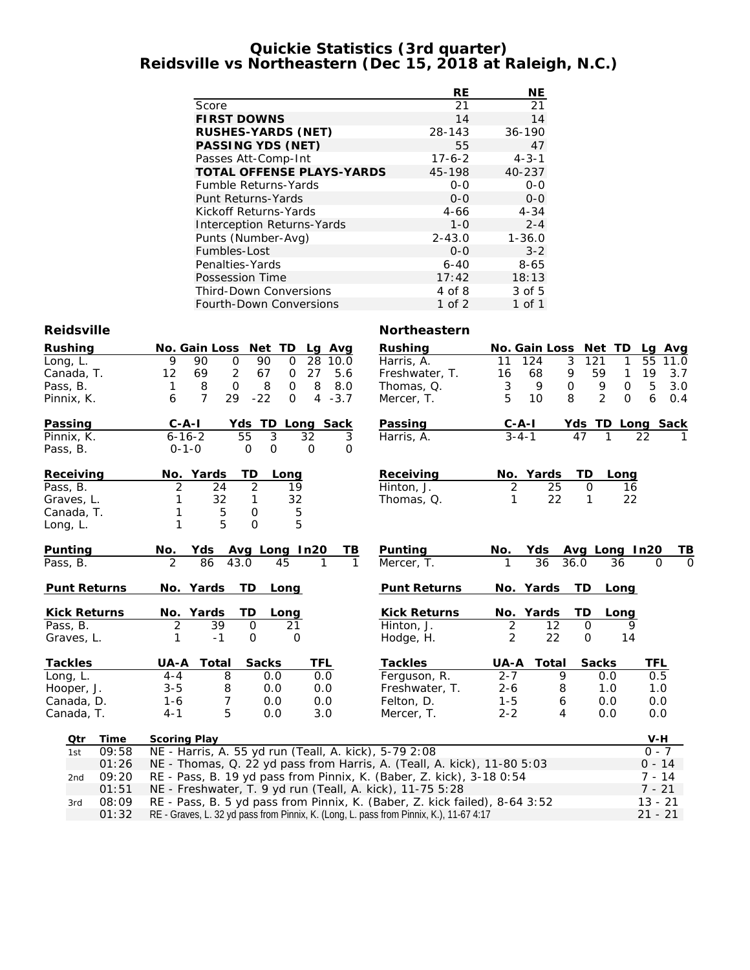### **Quickie Statistics (3rd quarter) Reidsville vs Northeastern (Dec 15, 2018 at Raleigh, N.C.)**

|                                   | <b>RE</b>    | NE          |
|-----------------------------------|--------------|-------------|
| Score                             | 21           | 21          |
| <b>FIRST DOWNS</b>                | 14           | 14          |
| <b>RUSHES-YARDS (NET)</b>         | 28-143       | $36 - 190$  |
| <b>PASSING YDS (NET)</b>          | 55           | 47          |
| Passes Att-Comp-Int               | $17 - 6 - 2$ | $4 - 3 - 1$ |
| <b>TOTAL OFFENSE PLAYS-YARDS</b>  | 45-198       | 40-237      |
| <b>Fumble Returns-Yards</b>       | $0 - 0$      | $0 - 0$     |
| Punt Returns-Yards                | $0 - 0$      | $0 - 0$     |
| Kickoff Returns-Yards             | 4-66         | $4 - 34$    |
| <b>Interception Returns-Yards</b> | $1 - 0$      | $2 - 4$     |
| Punts (Number-Avg)                | $2 - 43.0$   | $1 - 36.0$  |
| Fumbles-Lost                      | $0 - 0$      | $3 - 2$     |
| Penalties-Yards                   | $6 - 40$     | $8 - 65$    |
| Possession Time                   | 17:42        | 18:13       |
| <b>Third-Down Conversions</b>     | 4 of 8       | 3 of 5      |
| <b>Fourth-Down Conversions</b>    | 1 of 2       | 1 of 1      |

#### **Reidsville Northeastern**

| Rushing             | No. Gain Loss                                         | Net TD                                    | Lg Avg      | <b>Rushing</b>                                                          |             |                  | No. Gain Loss Net TD | Lg Avg             |          |
|---------------------|-------------------------------------------------------|-------------------------------------------|-------------|-------------------------------------------------------------------------|-------------|------------------|----------------------|--------------------|----------|
| Long, L.            | 9<br>90                                               | 90<br>$\mathbf 0$<br>28<br>$\mathbf 0$    | 10.0        | Harris, A.                                                              | 11          | 124<br>3         | 121                  | 55<br>1<br>11.0    |          |
| Canada, T.          | 12<br>69                                              | 67<br>27<br>2<br>$\mathbf 0$              | 5.6         | Freshwater, T.                                                          | 16          | 9<br>68          | 59                   | 19<br>$\mathbf{1}$ | 3.7      |
| Pass, B.            | 8<br>1                                                | $\Omega$<br>8<br>$\mathbf 0$<br>8         | 8.0         | Thomas, Q.                                                              | 3           | 9<br>$\mathbf 0$ | 9                    | 5<br>$\mathbf 0$   | 3.0      |
| Pinnix, K.          | $\overline{7}$<br>29<br>6                             | $-22$<br>$\mathbf 0$                      | $4 - 3.7$   | Mercer, T.                                                              | 5           | 10<br>8          | 2                    | 6<br>$\mathbf{O}$  | 0.4      |
| Passing             | $C - A - I$                                           | Yds TD Long Sack                          |             | Passing                                                                 | $C-A-I$     |                  |                      | Yds TD Long Sack   |          |
| Pinnix, K.          | $6 - 16 - 2$                                          | 3<br>55<br>32                             | 3           | Harris, A.                                                              | $3 - 4 - 1$ |                  | 47                   | 22                 |          |
| Pass, B.            | $0 - 1 - 0$                                           | $\mathbf 0$<br>$\mathbf 0$<br>$\mathbf 0$ | $\mathbf 0$ |                                                                         |             |                  |                      |                    |          |
| Receiving           | No. Yards                                             | TD<br>Long                                |             | Receiving                                                               | No. Yards   |                  | TD<br>Long           |                    |          |
| Pass, B.            | 2<br>24                                               | $\overline{2}$<br>19                      |             | Hinton, J.                                                              | 2           | 25               | 0                    | 16                 |          |
| Graves, L.          | 32                                                    | 32<br>1                                   |             | Thomas, Q.                                                              | 1           | 22               | $\mathbf{1}$         | 22                 |          |
| Canada, T.          | 5                                                     | 5<br>$\mathbf 0$                          |             |                                                                         |             |                  |                      |                    |          |
| Long, L.            | 5<br>1                                                | 5<br>$\mathbf 0$                          |             |                                                                         |             |                  |                      |                    |          |
| Punting             | No.<br><b>Yds</b>                                     | Avg Long In20                             | TВ          | Punting                                                                 | No.         | Yds.             | Avg Long In20        |                    | ΤВ       |
| Pass, B.            | $\overline{2}$<br>86                                  | 43.0<br>45                                |             | Mercer, T.                                                              |             | 36               | 36.0<br>36           | $\Omega$           | $\Omega$ |
| <b>Punt Returns</b> | No. Yards                                             | TD<br>Long                                |             | <b>Punt Returns</b>                                                     | No. Yards   |                  | <b>TD</b><br>Long    |                    |          |
| <b>Kick Returns</b> | No. Yards                                             | TD<br>Long                                |             | <b>Kick Returns</b>                                                     | No. Yards   |                  | TD<br>Long           |                    |          |
| Pass, B.            | 2<br>39                                               | 21<br>$\mathbf 0$                         |             | Hinton, J.                                                              | 2           | 12               | $\mathbf 0$          | 9                  |          |
| Graves, L.          | $-1$<br>1                                             | $\mathbf 0$<br>$\mathbf 0$                |             | Hodge, H.                                                               | 2           | 22               | $\mathbf 0$          | 14                 |          |
| <b>Tackles</b>      | Total<br>UA-A                                         | <b>Sacks</b><br>TFL                       |             | <b>Tackles</b>                                                          | UA-A        | Total            | <b>Sacks</b>         | TFL                |          |
| Long, L.            | 8<br>$4 - 4$                                          | 0.0                                       | 0.0         | Ferguson, R.                                                            | $2 - 7$     | 9                | 0.0                  | 0.5                |          |
| Hooper, J.          | $3 - 5$<br>8                                          | 0.0                                       | 0.0         | Freshwater, T.                                                          | $2 - 6$     | 8                | 1.0                  | 1.0                |          |
| Canada, D.          | $\overline{7}$<br>$1 - 6$                             | 0.0                                       | 0.0         | Felton, D.                                                              | $1 - 5$     | 6                | 0.0                  | 0.0                |          |
| Canada, T.          | 5<br>$4 - 1$                                          | 0.0                                       | 3.0         | Mercer, T.                                                              | $2 - 2$     | 4                | 0.0                  | 0.0                |          |
| Time<br>Otr         | <b>Scoring Play</b>                                   |                                           |             |                                                                         |             |                  |                      | $V-H$              |          |
| 09:58<br>1st        | NE - Harris, A. 55 yd run (Teall, A. kick), 5-79 2:08 |                                           |             |                                                                         |             | $0 - 7$          |                      |                    |          |
| 01:26               |                                                       |                                           |             | NE - Thomas, Q. 22 yd pass from Harris, A. (Teall, A. kick), 11-80 5:03 |             |                  |                      | $0 - 14$           |          |
| 09:20<br>2nd        |                                                       |                                           |             | RE - Pass, B. 19 yd pass from Pinnix, K. (Baber, Z. kick), 3-18 0:54    |             |                  |                      | $7 - 14$           |          |
| 01:51               |                                                       |                                           |             | NE - Freshwater, T. 9 yd run (Teall, A. kick), 11-75 5:28               |             |                  |                      | $7 - 21$           |          |
| ∩Ω۰∩۵<br>2rd        |                                                       |                                           |             | DE Dass R 5 ud nass from Dinniy K (Rabor 7 kick failed) 8 64 3.52       |             |                  |                      | 12 21              |          |

3rd 08:09 RE - Pass, B. 5 yd pass from Pinnix, K. (Baber, Z. kick failed), 8-64 3:52 13 - 21 01:32 RE - Graves, L. 32 yd pass from Pinnix, K. (Long, L. pass from Pinnix, K.), 11-67 4:17 21 - 21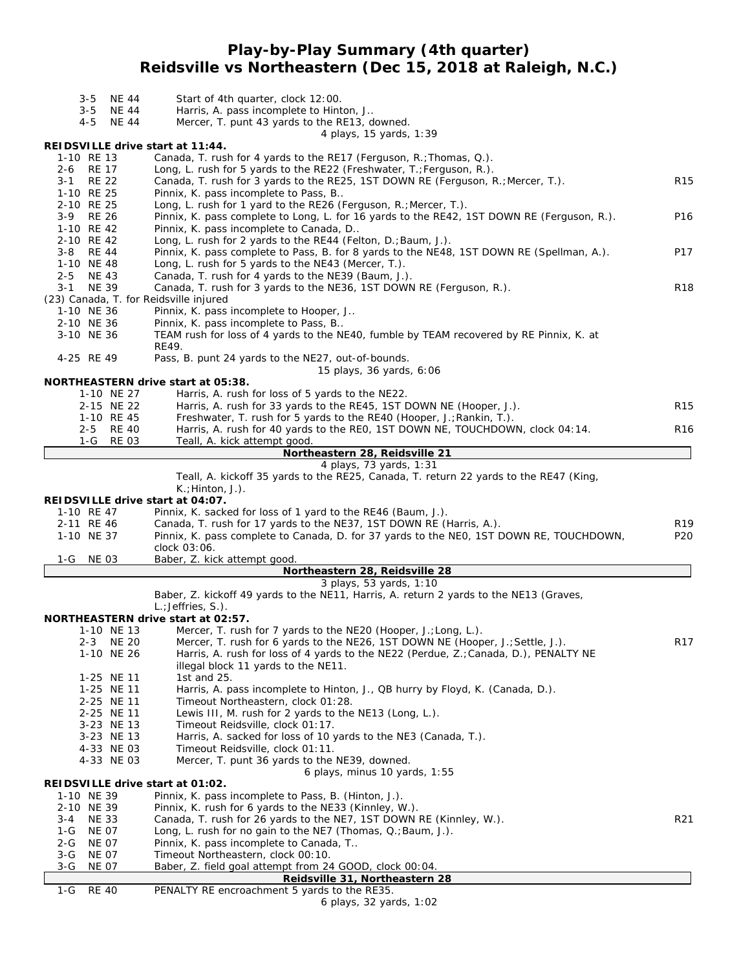## **Play-by-Play Summary (4th quarter) Reidsville vs Northeastern (Dec 15, 2018 at Raleigh, N.C.)**

| <b>NE 44</b><br>$3 - 5$                                                     | Start of 4th quarter, clock 12:00.                                                                         |                 |  |  |  |  |  |
|-----------------------------------------------------------------------------|------------------------------------------------------------------------------------------------------------|-----------------|--|--|--|--|--|
| $3 - 5$<br><b>NE 44</b>                                                     | Harris, A. pass incomplete to Hinton, J                                                                    |                 |  |  |  |  |  |
| $4 - 5$<br><b>NE 44</b>                                                     | Mercer, T. punt 43 yards to the RE13, downed.                                                              |                 |  |  |  |  |  |
|                                                                             | 4 plays, 15 yards, 1:39                                                                                    |                 |  |  |  |  |  |
| REIDSVILLE drive start at 11:44.<br>1-10 RE 13                              | Canada, T. rush for 4 yards to the RE17 (Ferguson, R.; Thomas, Q.).                                        |                 |  |  |  |  |  |
| 2-6 RE 17                                                                   | Long, L. rush for 5 yards to the RE22 (Freshwater, T.; Ferguson, R.).                                      |                 |  |  |  |  |  |
| <b>RE 22</b><br>$3 - 1$                                                     | Canada, T. rush for 3 yards to the RE25, 1ST DOWN RE (Ferguson, R.; Mercer, T.).                           | R <sub>15</sub> |  |  |  |  |  |
| 1-10 RE 25                                                                  | Pinnix, K. pass incomplete to Pass, B                                                                      |                 |  |  |  |  |  |
| 2-10 RE 25                                                                  | Long, L. rush for 1 yard to the RE26 (Ferguson, R.; Mercer, T.).                                           |                 |  |  |  |  |  |
| 3-9 RE 26                                                                   | Pinnix, K. pass complete to Long, L. for 16 yards to the RE42, 1ST DOWN RE (Ferguson, R.).                 | P <sub>16</sub> |  |  |  |  |  |
| 1-10 RE 42<br>Pinnix, K. pass incomplete to Canada, D                       |                                                                                                            |                 |  |  |  |  |  |
| 2-10 RE 42<br>Long, L. rush for 2 yards to the RE44 (Felton, D.; Baum, J.). |                                                                                                            |                 |  |  |  |  |  |
| 3-8 RE 44                                                                   | Pinnix, K. pass complete to Pass, B. for 8 yards to the NE48, 1ST DOWN RE (Spellman, A.).                  | P17             |  |  |  |  |  |
| 1-10 NE 48<br>2-5 NE 43                                                     | Long, L. rush for 5 yards to the NE43 (Mercer, T.).<br>Canada, T. rush for 4 yards to the NE39 (Baum, J.). |                 |  |  |  |  |  |
| <b>NE 39</b><br>$3 - 1$                                                     | Canada, T. rush for 3 yards to the NE36, 1ST DOWN RE (Ferguson, R.).                                       | <b>R18</b>      |  |  |  |  |  |
| (23) Canada, T. for Reidsville injured                                      |                                                                                                            |                 |  |  |  |  |  |
| 1-10 NE 36                                                                  | Pinnix, K. pass incomplete to Hooper, J                                                                    |                 |  |  |  |  |  |
| 2-10 NE 36                                                                  | Pinnix, K. pass incomplete to Pass, B                                                                      |                 |  |  |  |  |  |
| 3-10 NE 36                                                                  | TEAM rush for loss of 4 yards to the NE40, fumble by TEAM recovered by RE Pinnix, K. at                    |                 |  |  |  |  |  |
|                                                                             | RE49.                                                                                                      |                 |  |  |  |  |  |
| 4-25 RE 49                                                                  | Pass, B. punt 24 yards to the NE27, out-of-bounds.                                                         |                 |  |  |  |  |  |
|                                                                             | 15 plays, 36 yards, 6:06                                                                                   |                 |  |  |  |  |  |
| 1-10 NE 27                                                                  | NORTHEASTERN drive start at 05:38.<br>Harris, A. rush for loss of 5 yards to the NE22.                     |                 |  |  |  |  |  |
| 2-15 NE 22                                                                  | Harris, A. rush for 33 yards to the RE45, 1ST DOWN NE (Hooper, J.).                                        | R <sub>15</sub> |  |  |  |  |  |
| 1-10 RE 45                                                                  | Freshwater, T. rush for 5 yards to the RE40 (Hooper, J.; Rankin, T.).                                      |                 |  |  |  |  |  |
| $2 - 5$<br>RE 40                                                            | Harris, A. rush for 40 yards to the REO, 1ST DOWN NE, TOUCHDOWN, clock 04:14.                              | R <sub>16</sub> |  |  |  |  |  |
| 1-G<br>RE 03                                                                | Teall, A. kick attempt good.                                                                               |                 |  |  |  |  |  |
|                                                                             | Northeastern 28, Reidsville 21                                                                             |                 |  |  |  |  |  |
|                                                                             | 4 plays, 73 yards, 1:31                                                                                    |                 |  |  |  |  |  |
|                                                                             | Teall, A. kickoff 35 yards to the RE25, Canada, T. return 22 yards to the RE47 (King,                      |                 |  |  |  |  |  |
| REIDSVILLE drive start at 04:07.                                            | $K$ .; Hinton, J.).                                                                                        |                 |  |  |  |  |  |
| 1-10 RE 47                                                                  | Pinnix, K. sacked for loss of 1 yard to the RE46 (Baum, J.).                                               |                 |  |  |  |  |  |
| 2-11 RE 46                                                                  | Canada, T. rush for 17 yards to the NE37, 1ST DOWN RE (Harris, A.).                                        | R19             |  |  |  |  |  |
| 1-10 NE 37                                                                  | Pinnix, K. pass complete to Canada, D. for 37 yards to the NEO, 1ST DOWN RE, TOUCHDOWN,                    | P <sub>20</sub> |  |  |  |  |  |
|                                                                             | clock 03:06.                                                                                               |                 |  |  |  |  |  |
| 1-G<br>NE 03                                                                | Baber, Z. kick attempt good.                                                                               |                 |  |  |  |  |  |
|                                                                             | Northeastern 28, Reidsville 28                                                                             |                 |  |  |  |  |  |
|                                                                             | 3 plays, 53 yards, 1:10                                                                                    |                 |  |  |  |  |  |
|                                                                             | Baber, Z. kickoff 49 yards to the NE11, Harris, A. return 2 yards to the NE13 (Graves,                     |                 |  |  |  |  |  |
|                                                                             | L.; Jeffries, S.).<br><b>NORTHEASTERN drive start at 02:57.</b>                                            |                 |  |  |  |  |  |
| 1-10 NE 13                                                                  | Mercer, T. rush for 7 yards to the NE20 (Hooper, J.; Long, L.).                                            |                 |  |  |  |  |  |
| 2-3 NE 20                                                                   | Mercer, T. rush for 6 yards to the NE26, 1ST DOWN NE (Hooper, J.; Settle, J.).                             | R <sub>17</sub> |  |  |  |  |  |
| 1-10 NE 26                                                                  | Harris, A. rush for loss of 4 yards to the NE22 (Perdue, Z.; Canada, D.), PENALTY NE                       |                 |  |  |  |  |  |
|                                                                             | illegal block 11 yards to the NE11.                                                                        |                 |  |  |  |  |  |
| 1-25 NE 11                                                                  | 1st and 25.                                                                                                |                 |  |  |  |  |  |
| 1-25 NE 11                                                                  | Harris, A. pass incomplete to Hinton, J., QB hurry by Floyd, K. (Canada, D.).                              |                 |  |  |  |  |  |
| 2-25 NE 11                                                                  | Timeout Northeastern, clock 01:28.                                                                         |                 |  |  |  |  |  |
| 2-25 NE 11                                                                  | Lewis III, M. rush for 2 yards to the NE13 (Long, L.).                                                     |                 |  |  |  |  |  |
| 3-23 NE 13                                                                  | Timeout Reidsville, clock 01:17.                                                                           |                 |  |  |  |  |  |
| 3-23 NE 13<br>4-33 NE 03                                                    | Harris, A. sacked for loss of 10 yards to the NE3 (Canada, T.).<br>Timeout Reidsville, clock 01:11.        |                 |  |  |  |  |  |
| 4-33 NE 03                                                                  | Mercer, T. punt 36 yards to the NE39, downed.                                                              |                 |  |  |  |  |  |
|                                                                             | 6 plays, minus 10 yards, $1:55$                                                                            |                 |  |  |  |  |  |
| REIDSVILLE drive start at 01:02.                                            |                                                                                                            |                 |  |  |  |  |  |
| 1-10 NE 39                                                                  | Pinnix, K. pass incomplete to Pass, B. (Hinton, J.).                                                       |                 |  |  |  |  |  |
| 2-10 NE 39                                                                  | Pinnix, K. rush for 6 yards to the NE33 (Kinnley, W.).                                                     |                 |  |  |  |  |  |
| 3-4<br>NE 33                                                                | Canada, T. rush for 26 yards to the NE7, 1ST DOWN RE (Kinnley, W.).                                        | R <sub>21</sub> |  |  |  |  |  |
| $1-G$<br><b>NE 07</b>                                                       | Long, L. rush for no gain to the NE7 (Thomas, Q.; Baum, J.).                                               |                 |  |  |  |  |  |
| <b>NE 07</b><br>2-G                                                         | Pinnix, K. pass incomplete to Canada, T                                                                    |                 |  |  |  |  |  |
| $3-G$<br><b>NE 07</b><br>$3-G$<br><b>NE 07</b>                              | Timeout Northeastern, clock 00:10.<br>Baber, Z. field goal attempt from 24 GOOD, clock 00:04.              |                 |  |  |  |  |  |
|                                                                             | Reidsville 31, Northeastern 28                                                                             |                 |  |  |  |  |  |
| <b>RE 40</b><br>$1-G$                                                       | PENALTY RE encroachment 5 yards to the RE35.                                                               |                 |  |  |  |  |  |
|                                                                             | 6 plays, 32 yards, 1:02                                                                                    |                 |  |  |  |  |  |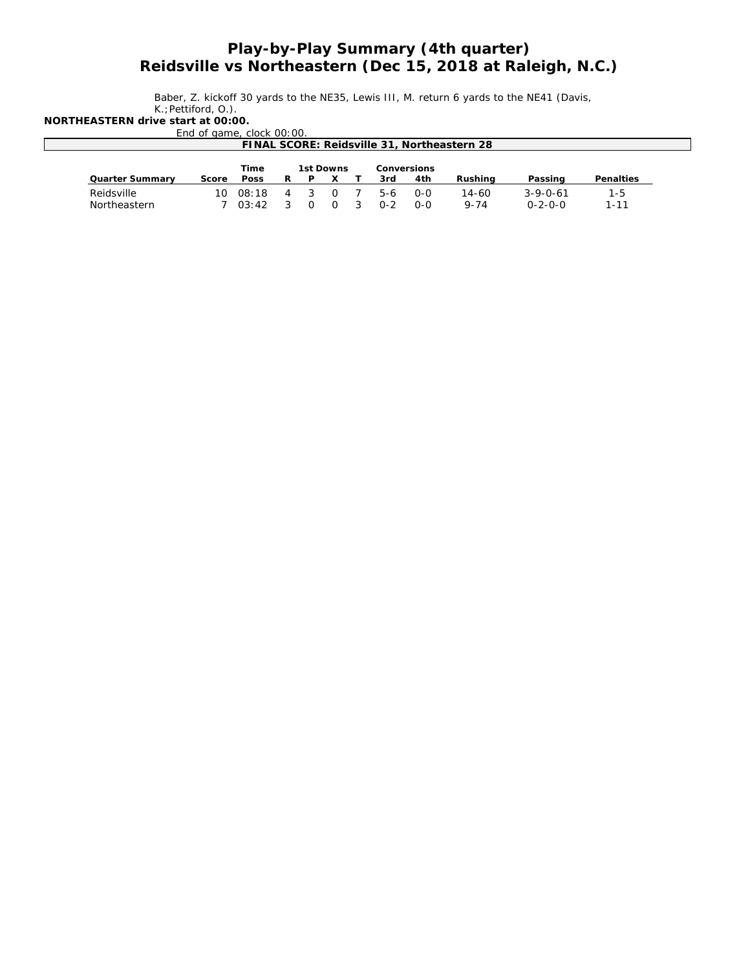## *Play-by-Play Summary (4th quarter) Reidsville vs Northeastern (Dec 15, 2018 at Raleigh, N.C.)*

Baber, Z. kickoff 30 yards to the NE35, Lewis III, M. return 6 yards to the NE41 (Davis, K.;Pettiford, O.).

**NORTHEASTERN drive start at 00:00.**

End of game, clock 00:00.

| FINAL SCORE: Reidsville 31, Northeastern 28 |       |             |   |                                 |  |  |     |     |          |                  |           |
|---------------------------------------------|-------|-------------|---|---------------------------------|--|--|-----|-----|----------|------------------|-----------|
|                                             |       | Time        |   | 1st Downs<br><b>Conversions</b> |  |  |     |     |          |                  |           |
| <b>Quarter Summary</b>                      | Score | <b>Poss</b> | R |                                 |  |  | 3rd | 4th | Rushina  | Passing          | Penalties |
| Reidsville                                  |       | 10008:18    |   |                                 |  |  | 5-6 | 0-0 | 14-60    | $3 - 9 - 0 - 61$ | 1-5       |
| Northeastern                                |       | 03:42       |   |                                 |  |  | በ-2 | 0-0 | $9 - 74$ | $0 - 2 - 0 - 0$  | 1-11      |